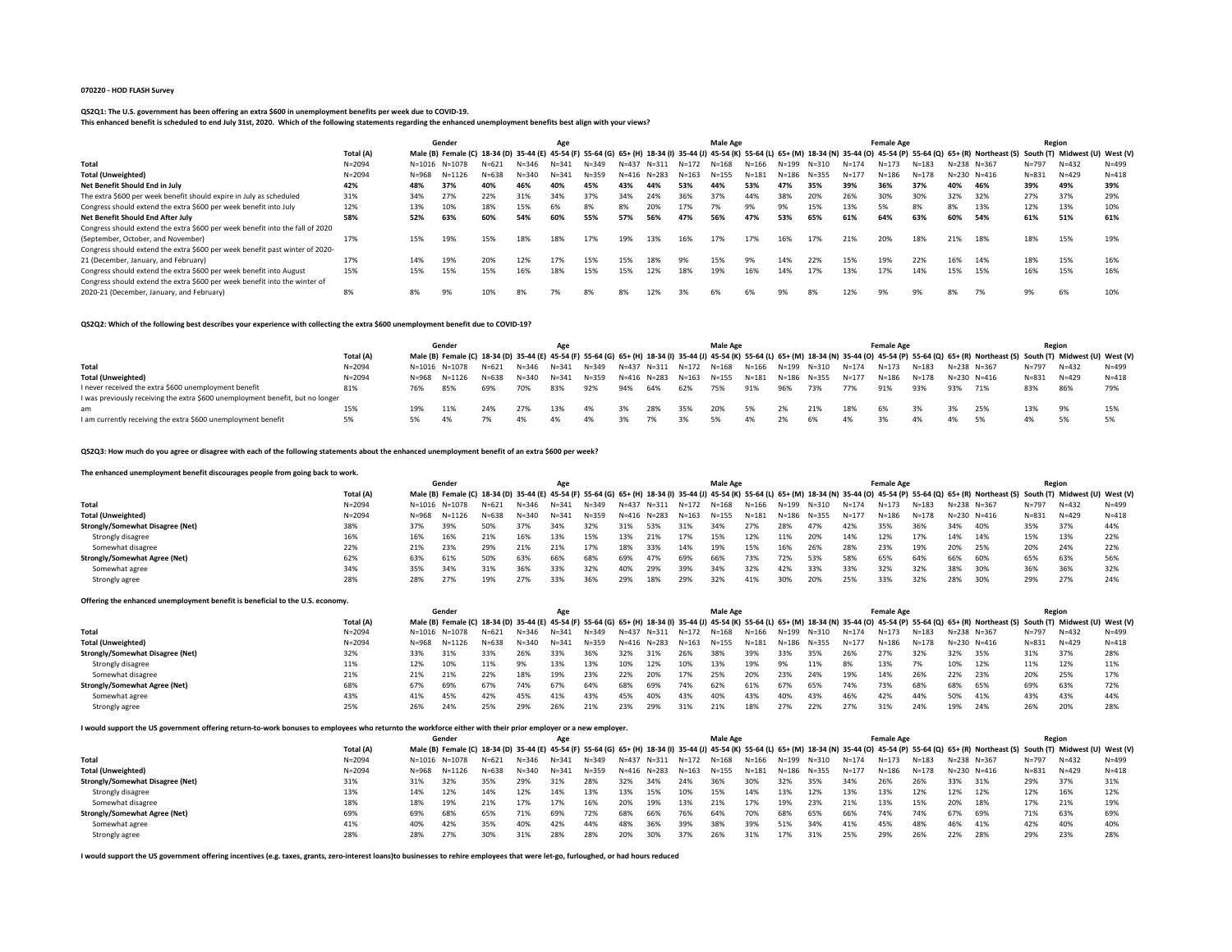### **070220 - HOD FLASH Survey**

#### **QS2Q1: The U.S. government has been offering an extra \$600 in unemployment benefits per week due to COVID-19.**

**This enhanced benefit is scheduled to end July 31st, 2020. Which of the following statements regarding the enhanced unemployment benefits best align with your views?**

|                                                                               |            |           | Gender     |           |           | Age       |           |           |           |           | <b>Male Age</b> |           |       |           |           | <b>Female Age</b> |           |           |                                                                                                                                                                                   | Region    |                                |           |
|-------------------------------------------------------------------------------|------------|-----------|------------|-----------|-----------|-----------|-----------|-----------|-----------|-----------|-----------------|-----------|-------|-----------|-----------|-------------------|-----------|-----------|-----------------------------------------------------------------------------------------------------------------------------------------------------------------------------------|-----------|--------------------------------|-----------|
|                                                                               | Total (A)  |           |            |           |           |           |           |           |           |           |                 |           |       |           |           |                   |           |           | Male (B) Female (C) 18-34 (D) 35-44 (E) 45-54 (F) 55-64 (G) 65+ (H) 18-34 (I) 35-44 (J) 45-54 (K) 55-64 (L) 65+ (M) 18-34 (N) 35-44 (O) 45-54 (P) 55-64 (Q) 65+ (R) Northeast (S) |           | South (T) Midwest (U) West (V) |           |
| Total                                                                         | $N = 2094$ | N=1016    | $N = 1078$ | $N = 621$ | $N = 346$ | $N = 341$ | $N = 349$ | $N = 437$ | $N = 311$ | N=172     | N=168           | $N = 166$ | N=199 | $N = 310$ | $N = 174$ | $N = 173$         | $N = 183$ |           | N=238 N=367                                                                                                                                                                       | $N = 797$ | $N = 432$                      | $N = 499$ |
| <b>Total (Unweighted)</b>                                                     | $N = 2094$ | $N = 968$ | $N = 1126$ | $N = 638$ | $N = 340$ | $N = 341$ | $N = 359$ | N=416     | N=283     | $N = 163$ | $N = 155$       | $N = 181$ | N=186 | $N = 355$ | $N = 17$  | $N = 186$         | $N = 178$ | $N = 230$ | N=416                                                                                                                                                                             | $N = 831$ | $N = 429$                      | $N = 418$ |
| Net Benefit Should End in July                                                | 42%        | 48%       | 37%        | 40%       | 46%       | 40%       | 45%       | 43%       | 44%       | 53%       | 44%             | 53%       | 47%   | 35%       | 39%       | 36%               | 37%       | 40%       | 46%                                                                                                                                                                               | 39%       | 49%                            | 39%       |
| The extra \$600 per week benefit should expire in July as scheduled           | 31%        | 34%       | 27%        | 22%       | 31%       | 34%       | 37%       | 34%       | 24%       | 36%       | 37%             | 44%       | 38%   | 20%       | 26%       | 30%               | 30%       | 32%       | 32%                                                                                                                                                                               | 27%       | 37%                            | 29%       |
| Congress should extend the extra \$600 per week benefit into July             | 12%        | 13%       | 10%        | 18%       | 15%       | 6%        | 8%        | 8%        |           | 17%       | 7%              | 9%        | 9%    | 15%       | 13%       | 5%                | 8%        | 8%        | 13%                                                                                                                                                                               | 12%       | 13%                            | 10%       |
| Net Benefit Should End After July                                             | 58%        | 52%       | 63%        | 60%       | 54%       | 60%       | 55%       | 57%       | 56%       | 47%       | 56%             | 47%       | 53%   | 65%       | 61%       | 64%               | 63%       | 60%       | 54%                                                                                                                                                                               | 61%       | 51%                            | 61%       |
| Congress should extend the extra \$600 per week benefit into the fall of 2020 |            |           |            |           |           |           |           |           |           |           |                 |           |       |           |           |                   |           |           |                                                                                                                                                                                   |           |                                |           |
| (September, October, and November)                                            | 17%        | 15%       | 19%        | 15%       | 18%       | 18%       | 17%       | 19%       | 13%       | 16%       | 17%             | 17%       | 16%   | 17%       | 21%       | 20%               | 18%       | 21%       | 18%                                                                                                                                                                               | 18%       | 15%                            | 19%       |
| Congress should extend the extra \$600 per week benefit past winter of 2020-  |            |           |            |           |           |           |           |           |           |           |                 |           |       |           |           |                   |           |           |                                                                                                                                                                                   |           |                                |           |
| 21 (December, January, and February)                                          | 17%        | 14%       | 19%        | 20%       | 12%       | 17%       | 15%       | 15%       | 18%       | 9%        | 15%             | 9%        | 14%   | 22%       | 15%       | 19%               | 22%       | 16%       | 14%                                                                                                                                                                               | 18%       | 15%                            | 16%       |
| Congress should extend the extra \$600 per week benefit into August           | 15%        | 15%       | 15%        | 15%       | 16%       | 18%       | 15%       | 15%       | 12%       | 18%       | 19%             | 16%       | 14%   | 17%       | 13%       | 17%               | 14%       | 15%       | 15%                                                                                                                                                                               | 16%       | 15%                            | 16%       |
| Congress should extend the extra \$600 per week benefit into the winter of    |            |           |            |           |           |           |           |           |           |           |                 |           |       |           |           |                   |           |           |                                                                                                                                                                                   |           |                                |           |
| 2020-21 (December, January, and February)                                     | 8%         | 8%        | 9%         | 10%       | 8%        | 7%        | 8%        | 8%        | 12%       |           |                 | 6%        | 9%    | 8%        | 12%       | 9%                | 9%        | 8%        | 7%                                                                                                                                                                                | 9%        | 6%                             | 10%       |

### **QS2Q2: Which of the following best describes your experience with collecting the extra \$600 unemployment benefit due to COVID-19?**

|                                                                                |            |     | Gender               |           |           | Age       |       |     |                   |     | <b>Male Age</b>         |       |             |             |           | <b>Female Age</b> |           |         |                                                                                                                                                                                                                  |           | Region    |           |
|--------------------------------------------------------------------------------|------------|-----|----------------------|-----------|-----------|-----------|-------|-----|-------------------|-----|-------------------------|-------|-------------|-------------|-----------|-------------------|-----------|---------|------------------------------------------------------------------------------------------------------------------------------------------------------------------------------------------------------------------|-----------|-----------|-----------|
|                                                                                | Total (A)  |     |                      |           |           |           |       |     |                   |     |                         |       |             |             |           |                   |           |         | Male (B) Female (C) 18-34 (D) 35-44 (E) 45-54 (F) 55-64 (G) 65+ (H) 18-34 (I) 35-44 (J) 45-54 (K) 55-64 (L) 65+ (M) 18-34 (N) 35-44 (O) 45-54 (P) 55-64 (Q) 65+ (R) Northeast (S) South (T) Midwest (U) West (V) |           |           |           |
| Total                                                                          | $N = 2094$ |     | N=1016 N=1078        | N=621     | N=346     | N=341     | N=349 |     |                   |     | N=437 N=311 N=172 N=168 | N=166 |             | N=199 N=310 | N=174     | N=173             | $N = 183$ |         | N=238 N=367                                                                                                                                                                                                      | $N = 797$ | $N = 432$ | $N = 499$ |
| <b>Total (Unweighted)</b>                                                      | $N = 2094$ |     | $N = 968$ $N = 1126$ | $N = 638$ | $N = 340$ | $N = 341$ | N=359 |     | N=416 N=283 N=163 |     | N=155                   | N=181 | N=186 N=355 |             | $N = 177$ | N=186             | $N = 178$ |         | N=230 N=416                                                                                                                                                                                                      | $N = 831$ | N=429     | $N = 418$ |
| I never received the extra \$600 unemployment benefit                          | 81%        | 76% | 85%                  | 69%       | 70%       | 83%       | 92%   | 94% | 64%               | 62% | 75%                     | 91%   | 96%         | 73%         | 77%       | 91%               | 93%       | 93% 71% |                                                                                                                                                                                                                  | 83%       | 86%       | 79%       |
| I was previously receiving the extra \$600 unemployment benefit, but no longer |            |     |                      |           |           |           |       |     |                   |     |                         |       |             |             |           |                   |           |         |                                                                                                                                                                                                                  |           |           |           |
| am                                                                             | 15%        |     | 11%                  |           | 27%       | 13%       |       |     | 28%               | 35% | 20%                     |       |             | 21%         | 18%       | 6%                | 3%        |         | 25%                                                                                                                                                                                                              | 13%       | 9%        |           |
| I am currently receiving the extra \$600 unemployment benefit                  |            |     |                      |           |           |           |       |     |                   |     |                         |       |             |             |           |                   |           | 4%      | 5%                                                                                                                                                                                                               | 4%        |           |           |

# **QS2Q3: How much do you agree or disagree with each of the following statements about the enhanced unemployment benefit of an extra \$600 per week?**

#### **The enhanced unemployment benefit discourages people from going back to work.**

|                                      |            | Gender |               |           |           | Age       |           |           |             |           | <b>Male Age</b> |           |       |       |           | <b>Female Age</b> |           |     |                                                                                                                                                                                                                  |           | Region    |           |
|--------------------------------------|------------|--------|---------------|-----------|-----------|-----------|-----------|-----------|-------------|-----------|-----------------|-----------|-------|-------|-----------|-------------------|-----------|-----|------------------------------------------------------------------------------------------------------------------------------------------------------------------------------------------------------------------|-----------|-----------|-----------|
|                                      | Total (A)  |        |               |           |           |           |           |           |             |           |                 |           |       |       |           |                   |           |     | Male (B) Female (C) 18-34 (D) 35-44 (E) 45-54 (F) 55-64 (G) 65+ (H) 18-34 (I) 35-44 (J) 45-54 (K) 55-64 (L) 65+ (M) 18-34 (N) 35-44 (O) 45-54 (P) 55-64 (Q) 65+ (R) Northeast (S) South (T) Midwest (U) West (V) |           |           |           |
| <b>Total</b>                         | $N = 2094$ |        | N=1016 N=1078 | $N = 621$ | $N = 346$ | $N = 341$ | $N = 349$ | $N = 437$ | N=311       | $N = 172$ | N=168           | $N = 166$ | N=199 | N=310 | $N = 174$ | $N = 173$         | $N = 183$ |     | N=238 N=367                                                                                                                                                                                                      | $N = 797$ | $N = 432$ | $N = 499$ |
| <b>Total (Unweighted)</b>            | $N = 2094$ | N=968  | N=1126        | $N = 638$ | $N = 340$ | $N = 341$ | $N = 359$ |           | N=416 N=283 | N=163     | $N = 155$       | $N = 181$ | N=186 | N=355 | $N = 177$ | $N = 186$         | $N = 178$ |     | N=230 N=416                                                                                                                                                                                                      | $N = 831$ | $N = 429$ | $N = 418$ |
| Strongly/Somewhat Disagree (Net)     | 38%        | 37%    | -39%          | 50%       | 37%       | 34%       | 32%       | 31%       | -53%        | 31%       | 34%             | 27%       | 28%   | 47%   | 42%       | 35%               | 36%       | 34% | 40%                                                                                                                                                                                                              | 35%       | 37%       | 44%       |
| Strongly disagree                    | 16%        | 16%    | 16%           | 21%       | 16%       | 13%       | 15%       | 13%       | 21%         | 17%       | 15%             | 12%       | 11%   | 20%   | 14%       | 12%               | 17%       | 14% | 14%                                                                                                                                                                                                              | 15%       | 13%       | 22%       |
| Somewhat disagree                    | 22%        | 21%    | 23%           | 29%       | 21%       | 21%       | 17%       | 18%       | 33%         | 14%       | 19%             | 15%       | 16%   | 26%   | 28%       | 23%               | 19%       | 20% | 25%                                                                                                                                                                                                              | 20%       | 24%       | 22%       |
| <b>Strongly/Somewhat Agree (Net)</b> | 62%        | 63%    | 61%           | 50%       | 63%       | 66%       | 68%       | 69%       | 47%         | 69%       | 66%             | 73%       | 72%   | 53%   | 58%       | 65%               | 64%       | 66% | 60%                                                                                                                                                                                                              | 65%       | 63%       | 56%       |
| Somewhat agree                       | 34%        | 35%    | 34%           | 31%       | 36%       | 33%       | 32%       | 40%       | 29%         | 39%       | 34%             | 32%       | 42%   | 33%   | 33%       | 32%               | 32%       | 38% | 30%                                                                                                                                                                                                              | 36%       | 36%       | 32%       |
| Strongly agree                       | 28%        | 28%    | 27%           | 19%       | 27%       | 33%       | 36%       | 29%       | 18%         | 29%       | 32%             | 41%       | 30%   | 20%   | 25%       | 33%               | 32%       | 28% | 30%                                                                                                                                                                                                              | 29%       | 27%       | 24%       |

## **Offering the enhanced unemployment benefit is beneficial to the U.S. economy.**

| One might entertained and inprovincial benefit is benefitial to the O.S. economy. |            |           |               |           |           |           |           |           |                     |           |                 |           |           |           |           |                   |           |           |                                                                                                                                                                                                                  |           |           |           |
|-----------------------------------------------------------------------------------|------------|-----------|---------------|-----------|-----------|-----------|-----------|-----------|---------------------|-----------|-----------------|-----------|-----------|-----------|-----------|-------------------|-----------|-----------|------------------------------------------------------------------------------------------------------------------------------------------------------------------------------------------------------------------|-----------|-----------|-----------|
|                                                                                   |            |           | Gender        |           |           | Age       |           |           |                     |           | <b>Male Age</b> |           |           |           |           | <b>Female Age</b> |           |           |                                                                                                                                                                                                                  |           | Region    |           |
|                                                                                   | Total (A)  |           |               |           |           |           |           |           |                     |           |                 |           |           |           |           |                   |           |           | Male (B) Female (C) 18-34 (D) 35-44 (E) 45-54 (F) 55-64 (G) 65+ (H) 18-34 (I) 35-44 (J) 45-54 (K) 55-64 (L) 65+ (M) 18-34 (N) 35-44 (O) 45-54 (P) 55-64 (Q) 65+ (R) Northeast (S) South (T) Midwest (U) West (V) |           |           |           |
| <b>Total</b>                                                                      | $N = 2094$ |           | N=1016 N=1078 | $N = 621$ | $N = 346$ | $N = 341$ | $N = 349$ | $N = 437$ | $N = 311$           | $N = 172$ | $N = 168$       | N=166     | N=199     | N=310     | $N = 174$ | $N = 173$         | $N = 183$ |           | N=238 N=367                                                                                                                                                                                                      | $N = 797$ | $N = 432$ | $N = 499$ |
| <b>Total (Unweighted)</b>                                                         | $N = 2094$ | $N = 968$ | N=1126        | $N = 638$ | $N = 340$ | $N = 341$ | $N = 359$ |           | $N = 416$ $N = 283$ | $N = 163$ | $N = 155$       | $N = 181$ | $N = 186$ | $N = 355$ | $N = 177$ | $N = 186$         | $N = 178$ | $N = 230$ | $N = 416$                                                                                                                                                                                                        | $N = 831$ | $N = 429$ | $N = 418$ |
| Strongly/Somewhat Disagree (Net)                                                  | 32%        | 33%       | 31%           | 33%       | 26%       | 33%       | 36%       | 32%       | -31%                | 26%       | 38%             | 39%       | 33%       | 35%       | 26%       | 27%               | 32%       | 32%       | 35%                                                                                                                                                                                                              | 31%       | 37%       | 28%       |
| Strongly disagree                                                                 | 11%        | 12%       | 10%           | 11%       | 9%        | 13%       | 13%       | 10%       | 12%                 | ۔0%       | 13%             | 19%       | 9%        | 11%       | 8%        | 13%               | 7%        | 10%       | 12%                                                                                                                                                                                                              | 11%       | 12%       | 11%       |
| Somewhat disagree                                                                 | 21%        | 21%       | 21%           | 22%       | 18%       | 19%       | 23%       | 22%       | 20%                 | 17%       | 25%             | 20%       | 23%       | 24%       | 19%       | 14%               | 26%       | 22%       | 23%                                                                                                                                                                                                              | 20%       | 25%       | 17%       |
| Strongly/Somewhat Agree (Net)                                                     | 68%        | 67%       | 69%           | 67%       | 74%       | 67%       | 64%       | 68%       | 69%                 | 74%       | 62%             | 61%       | 67%       | 65%       | 74%       | 73%               | 68%       | 68%       | 65%                                                                                                                                                                                                              | 69%       | 63%       | 72%       |
| Somewhat agree                                                                    | 43%        | 41%       | 45%           | 42%       | 45%       | 41%       | 43%       | 45%       | 40%                 | 43%       | 40%             | 43%       | 40%       | 43%       | 46%       | 42%               | 44%       | 50%       | 41%                                                                                                                                                                                                              | 43%       | 43%       | 44%       |
| Strongly agree                                                                    | 25%        | 26%       | 24%           | 25%       | 29%       | 26%       | 21%       | 23%       | 29%                 | 31%       | 21%             | 18%       | 27%       | 22%       | 27%       | 31%               | 24%       | 19%       | 24%                                                                                                                                                                                                              | 26%       | 20%       | 28%       |
|                                                                                   |            |           |               |           |           |           |           |           |                     |           |                 |           |           |           |           |                   |           |           |                                                                                                                                                                                                                  |           |           |           |

### **I would support the US government offering return-to-work bonuses to employees who returnto the workforce either with their prior employer or a new employer.**

|                                  |            |       | Gender        |           |           | Age       |           |           |             |           | <b>Male Age</b> |       |       |       |           | <b>Female Age</b> |           |     |                                                                                                                                                                                                                  |           | Region    |           |
|----------------------------------|------------|-------|---------------|-----------|-----------|-----------|-----------|-----------|-------------|-----------|-----------------|-------|-------|-------|-----------|-------------------|-----------|-----|------------------------------------------------------------------------------------------------------------------------------------------------------------------------------------------------------------------|-----------|-----------|-----------|
|                                  | Total (A)  |       |               |           |           |           |           |           |             |           |                 |       |       |       |           |                   |           |     | Male (B) Female (C) 18-34 (D) 35-44 (E) 45-54 (F) 55-64 (G) 65+ (H) 18-34 (I) 35-44 (J) 45-54 (K) 55-64 (L) 65+ (M) 18-34 (N) 35-44 (O) 45-54 (P) 55-64 (Q) 65+ (R) Northeast (S) South (T) Midwest (U) West (V) |           |           |           |
| <b>Total</b>                     | $N = 2094$ |       | N=1016 N=1078 | $N = 621$ | $N = 346$ | $N = 341$ | $N = 349$ | $N = 437$ | N=311       | N=172     | N=168           | N=166 | N=199 | N=310 | $N = 174$ | $N = 173$         | $N = 183$ |     | N=238 N=367                                                                                                                                                                                                      | $N = 797$ | $N = 432$ | $N = 499$ |
| <b>Total (Unweighted)</b>        | $N = 2094$ | N=968 | N=1126        | $N = 638$ | $N = 340$ | $N = 341$ | $N = 359$ |           | N=416 N=283 | $N = 163$ | N=155           | N=181 | N=186 | N=355 | $N = 177$ | $N = 186$         | N=178     |     | N=230 N=416                                                                                                                                                                                                      | $N = 831$ | N=429     | $N = 418$ |
| Strongly/Somewhat Disagree (Net) | 31%        | 31%   | 32%           | 35%       | 29%       | 31%       | 28%       | 32%       | 34%         | 24%       | 36%             | 30%   | 32%   | 35%   | 34%       | 26%               | 26%       | 33% | 31%                                                                                                                                                                                                              | 29%       | 37%       | 31%       |
| Strongly disagree                | 13%        | 14%   | 12%           | 14%       | 12%       | 14%       | 13%       | 13%       | 15%         | .0%       | 15%             | 14%   | 13%   | 12%   | 13%       | 13%               | 12%       | 12% | 12%                                                                                                                                                                                                              | 12%       | 16%       | 12%       |
| Somewhat disagree                | 18%        | 18%   | 19%           | 21%       | 17%       | 17%       | 16%       |           | 19%         | .3%       | 21%             | 17%   | 19%   | 23%   | 21%       | 13%               | 15%       | 20% | 18%                                                                                                                                                                                                              | 17%       | 21%       | 19%       |
| Strongly/Somewhat Agree (Net)    | 69%        | 69%   | 68%           | 65%       | 71%       | 69%       | 72%       | 68%       | 66%         | 76%       | 64%             | 70%   | 68%   | 65%   | 66%       | 74%               | 74%       | 67% | 69%                                                                                                                                                                                                              | 71%       | 63%       | 69%       |
| Somewhat agree                   | 41%        | 40%   | 42%           | 35%       | 40%       | 42%       | 44%       | 48%       | 36%         | 39%       | 38%             | 39%   | 51%   | 34%   | 41%       | 45%               | 48%       | 46% | 41%                                                                                                                                                                                                              | 42%       | 40%       | 40%       |
| Strongly agree                   | 28%        | 28%   | 27%           | 30%       | 31%       | 28%       | 28%       | 20%       | 30%         | 37%       | 26%             | 31%   | 17%   |       | 25%       | 29%               | 26%       | 22% | 28%                                                                                                                                                                                                              | 29%       | 23%       | 28%       |

**I would support the US government offering incentives (e.g. taxes, grants, zero-interest loans)to businesses to rehire employees that were let-go, furloughed, or had hours reduced**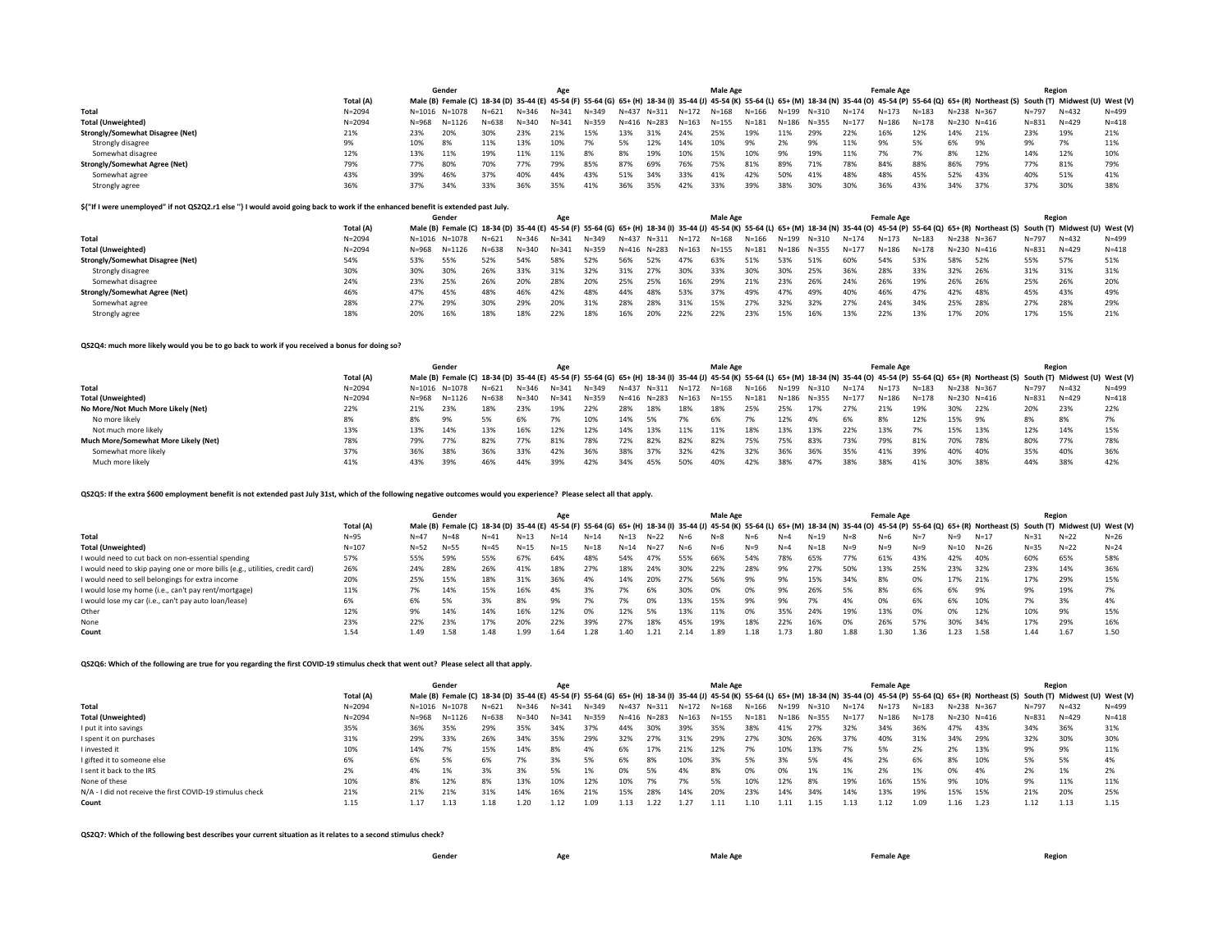|                                      |            |       | Gender        |           |           | Age       |           |           |           |           | <b>Male Age</b> |           |           |           |           | <b>Female Age</b> |           |     |                                                                                                                                                                                                                  |           | Region    |           |
|--------------------------------------|------------|-------|---------------|-----------|-----------|-----------|-----------|-----------|-----------|-----------|-----------------|-----------|-----------|-----------|-----------|-------------------|-----------|-----|------------------------------------------------------------------------------------------------------------------------------------------------------------------------------------------------------------------|-----------|-----------|-----------|
|                                      | Total (A)  |       |               |           |           |           |           |           |           |           |                 |           |           |           |           |                   |           |     | Male (B) Female (C) 18-34 (D) 35-44 (E) 45-54 (F) 55-64 (G) 65+ (H) 18-34 (I) 35-44 (J) 45-54 (K) 55-64 (L) 65+ (M) 18-34 (N) 35-44 (O) 45-54 (P) 55-64 (Q) 65+ (R) Northeast (S) South (T) Midwest (U) West (V) |           |           |           |
| Total                                | $N = 2094$ |       | N=1016 N=1078 | $N = 621$ | $N = 346$ | $N = 341$ | $N = 349$ | $N = 437$ | $N = 311$ | $N = 172$ | N=168           | $N = 166$ | $N = 199$ | N=310     | $N = 174$ | $N = 173$         | $N = 183$ |     | N=238 N=367                                                                                                                                                                                                      | $N = 797$ | $N = 432$ | $N = 499$ |
| <b>Total (Unweighted)</b>            | $N = 2094$ | N=968 | N=1126        | $N = 638$ | $N = 340$ | $N = 341$ | $N = 359$ | $N = 416$ | $N = 283$ | $N = 163$ | N=155           | $N = 181$ | $N = 186$ | $N = 355$ | $N = 177$ | $N = 186$         | $N = 178$ |     | $N = 230$ $N = 416$                                                                                                                                                                                              | $N = 831$ | $N = 429$ | $N = 418$ |
| Strongly/Somewhat Disagree (Net)     | 21%        | 23%   | 20%           | 30%       | 23%       | 21%       | 15%       | 13%       | 31%       | 24%       | 25%             | 19%       | 11%       | 29%       | 22%       | 16%               | 12%       | 14% | 21%                                                                                                                                                                                                              | 23%       | 19%       | 21%       |
| Strongly disagree                    |            | 10%   | 8%            | 11%       | 13%       | 10%       | 7%        |           | 12%       | 14%       | 10%             | 9%        | 2%        | 9%        | 11%       | 9%                | 5%        | 6%  | 9%                                                                                                                                                                                                               | 9%        | 7%        | 11%       |
| Somewhat disagree                    | 12%        | 13%   | 11%           | 19%       | 11%       | 11%       | 8%        |           | 19%       | 10%       | 15%             | 10%       | 9%        | 19%       | 11%       |                   | 7%        | 8%  | 12%                                                                                                                                                                                                              | 14%       | 12%       | 10%       |
| <b>Strongly/Somewhat Agree (Net)</b> | 79%        | 77%   | 80%           | 70%       | 77%       | 79%       | 85%       | 87%       | 69%       | 76%       | 75%             | 81%       | 89%       | 71%       | 78%       | 84%               | 88%       | 86% | 79%                                                                                                                                                                                                              | 77%       | 81%       | 79%       |
| Somewhat agree                       | 43%        | 39%   | 46%           | 37%       | 40%       | 44%       | 43%       | 51%       | 34%       | 33%       | 41%             | 42%       | 50%       | 41%       | 48%       | 48%               | 45%       | 52% | 43%                                                                                                                                                                                                              | 40%       | 51%       | 41%       |
| Strongly agree                       | 36%        | 37%   | 34%           | 33%       | 36%       | 35%       | 41%       | 36%       | 35%       | 42%       | 33%             | 39%       | 38%       | 30%       |           | 36%               | 43%       | 34% | 37%                                                                                                                                                                                                              | 37%       | 30%       | 38%       |

## **\${"If I were unemployed" if not QS2Q2.r1 else ''} I would avoid going back to work if the enhanced benefit is extended past July.**

|                                      |            |               | Gender |           |           | Age       |           |           |             |           | Male Age  |           |           |           |           | <b>Female Age</b> |           |             |                                                                                                                                                                                                                  |           | Region    |           |
|--------------------------------------|------------|---------------|--------|-----------|-----------|-----------|-----------|-----------|-------------|-----------|-----------|-----------|-----------|-----------|-----------|-------------------|-----------|-------------|------------------------------------------------------------------------------------------------------------------------------------------------------------------------------------------------------------------|-----------|-----------|-----------|
|                                      | Total (A)  |               |        |           |           |           |           |           |             |           |           |           |           |           |           |                   |           |             | Male (B) Female (C) 18-34 (D) 35-44 (E) 45-54 (F) 55-64 (G) 65+ (H) 18-34 (I) 35-44 (J) 45-54 (K) 55-64 (L) 65+ (M) 18-34 (N) 35-44 (O) 45-54 (P) 55-64 (Q) 65+ (R) Northeast (S) South (T) Midwest (U) West (V) |           |           |           |
| Total                                | $N = 2094$ | N=1016 N=1078 |        | $N = 621$ | $N = 346$ | $N = 341$ | $N = 349$ | $N = 437$ | $N = 311$   | $N = 172$ | N=168     | N=166     | $N = 199$ | $N = 310$ | $N = 174$ | $N = 173$         | $N = 183$ | N=238 N=367 |                                                                                                                                                                                                                  | $N = 797$ | $N = 432$ | $N = 499$ |
| <b>Total (Unweighted)</b>            | $N = 2094$ | N=968         | N=1126 | $N = 638$ | $N = 340$ | $N = 341$ | $N = 359$ |           | N=416 N=283 | N=163     | $N = 155$ | $N = 181$ | N=186     | $N = 355$ | $N = 177$ | $N = 186$         | N=178     | N=230       | $N = 416$                                                                                                                                                                                                        | $N = 831$ | $N = 429$ | $N = 418$ |
| Strongly/Somewhat Disagree (Net)     | 54%        | 53%           | 55%    | 52%       | 54%       | 58%       | 52%       | 56%       | 52%         | 47%       | 63%       | 51%       | 53%       | 51%       | 60%       | 54%               | 53%       | 58%         | 52%                                                                                                                                                                                                              | 55%       | 57%       | 51%       |
| Strongly disagree                    | 30%        | 30%           | 30%    | 26%       | 33%       | 31%       | 32%       | 31%       | 27%         | 30%       | 33%       | 30%       | 30%       | 25%       | 36%       | 28%               | 33%       | 32%         | 26%                                                                                                                                                                                                              | 31%       | 31%       | 31%       |
| Somewhat disagree                    | 24%        | 23%           | 25%    | 26%       | 20%       | 28%       | 20%       | 25%       | 25%         | 16%       | 29%       | 21%       | 23%       | 26%       | 24%       | 26%               | 19%       | 26%         | - 26%                                                                                                                                                                                                            | 25%       | 26%       | 20%       |
| <b>Strongly/Somewhat Agree (Net)</b> | 46%        | 47%           | 45%    | 48%       | 46%       | 42%       | 48%       | 44%       | 48%         | 53%       | 37%       | 49%       | 47%       | 49%       | 40%       | 46%               | 47%       | 42%         | 48%                                                                                                                                                                                                              | 45%       | 43%       | 49%       |
| Somewhat agree                       | 28%        | 27%           | 29%    |           | 29%       | 20%       | 31%       | 28%       | 28%         | 31%       | 15%       | 27%       | 32%       | 32%       | 27%       | 24%               | 34%       | 25%         | 28%                                                                                                                                                                                                              | 27%       | 28%       | 29%       |
| Strongly agree                       | 18%        | 20%           | 16%    | 18%       | 18%       | 22%       | 18%       | 16%       | 20%         | 22%       | 22%       | 23%       | 15%       | 16%       | 13%       | 22%               | 13%       | 17%         | 20%                                                                                                                                                                                                              | 17%       | 15%       | 21%       |

## **QS2Q4: much more likely would you be to go back to work if you received a bonus for doing so?**

|                                      |            |       | Gender        |           |           | Age       |           |           |           |           | <b>Male Age</b> |           |       |           |           | <b>Female Age</b> |           |             |                                                                                                                                                                                                                  |           | Region    |           |
|--------------------------------------|------------|-------|---------------|-----------|-----------|-----------|-----------|-----------|-----------|-----------|-----------------|-----------|-------|-----------|-----------|-------------------|-----------|-------------|------------------------------------------------------------------------------------------------------------------------------------------------------------------------------------------------------------------|-----------|-----------|-----------|
|                                      | Total (A)  |       |               |           |           |           |           |           |           |           |                 |           |       |           |           |                   |           |             | Male (B) Female (C) 18-34 (D) 35-44 (E) 45-54 (F) 55-64 (G) 65+ (H) 18-34 (I) 35-44 (J) 45-54 (K) 55-64 (L) 65+ (M) 18-34 (N) 35-44 (O) 45-54 (P) 55-64 (Q) 65+ (R) Northeast (S) South (T) Midwest (U) West (V) |           |           |           |
| <b>Total</b>                         | $N = 2094$ |       | N=1016 N=1078 | $N = 621$ | $N = 346$ | $1 = 341$ | N=349     | $N = 437$ | $N = 311$ | $N = 172$ | N=168           | N=166     | N=199 | N=310     | $N = 174$ | $N = 173$         | $N = 183$ | N=238 N=367 |                                                                                                                                                                                                                  | $N = 797$ | $N = 432$ | $N = 499$ |
| <b>Total (Unweighted)</b>            | $N = 2094$ | N=968 | N=1126        | $N = 638$ | $N = 340$ | $N = 341$ | $N = 359$ | $N = 416$ | $N = 283$ | $N = 163$ | $N = 155$       | $N = 181$ | N=186 | $N = 355$ | $N = 177$ | $N = 186$         | $N = 178$ | $N = 230$   | $N = 416$                                                                                                                                                                                                        | $N = 831$ | $N = 429$ | $N = 418$ |
| No More/Not Much More Likely (Net)   | 22%        | 21%   | 23%           | 18%       | 23%       | 19%       | 22%       | 28%       | 18%       | 18%       | 18%             | 25%       | 25%   | 17%       | 27%       | 21%               | 19%       | 30%         | 22%                                                                                                                                                                                                              | 20%       | 23%       | 22%       |
| No more likely                       | 8%         |       | 9%            |           | 6%        |           | 10%       | 14%       | - 5%      |           | 6%              |           | 12%   |           | 6%        | 8%                | 12%       | 15%         | 9%                                                                                                                                                                                                               | 8%        | 8%        |           |
| Not much more likely                 | 13%        | 13%   | 14%           | 13%       | 16%       | 12%       | 12%       | 14%       | 13%       | 11%       | 11%             | 18%       | 13%   | 13%       | 22%       | 13%               | 7%        | 15%         | 13%                                                                                                                                                                                                              | 12%       | 14%       | 15%       |
| Much More/Somewhat More Likely (Net) | 78%        | 79%   | 77%           | 82%       | 77%       | 81%       | 78%       | 72%       | 82%       | 82%       | 82%             | 75%       | 75%   | 83%       | 73%       | 79%               | 81%       | 70%         | 78%                                                                                                                                                                                                              | 80%       | 77%       | 78%       |
| Somewhat more likely                 | 37%        | 36%   | 38%           | 36%       | 33%       | 42%       | 36%       | 38%       | 37%       | 32%       | 42%             | 32%       | 36%   | 36%       | 35%       | 41%               | 39%       | 40%         | 40%                                                                                                                                                                                                              | 35%       | 40%       | 36%       |
| Much more likely                     | 41%        | 43%   | 39%           | 46%       | 44%       | 39%       | 42%       | 34%       | 45%       | 50%       | 40%             | 42%       | 38%   |           | 38%       | 38%               | 41%       | 30%         | 38%                                                                                                                                                                                                              | 44%       | 38%       | 42%       |

## **QS2Q5: If the extra \$600 employment benefit is not extended past July 31st, which of the following negative outcomes would you experience? Please select all that apply.**

|                                                                              |           | Gender<br>Male (B) Female (C) 18-34 (D) 35-44 (E) 45-54 (F) 55-64 (G) 65+ (H) 18-34 (I) 35-44 (J) 45-54 (K) 55-64 (L) 65+ (M) 18-34 (N) 35-44 (O) 45-54 (P) 55-64 (Q) 65+ (R) Northeast (S) South (T) Midwest (U) West (V) |          |          |           | Age      |          |           |          |       | <b>Male Age</b> |       |         |          |         | <b>Female Age</b> |       |          |          |          | Region |          |
|------------------------------------------------------------------------------|-----------|----------------------------------------------------------------------------------------------------------------------------------------------------------------------------------------------------------------------------|----------|----------|-----------|----------|----------|-----------|----------|-------|-----------------|-------|---------|----------|---------|-------------------|-------|----------|----------|----------|--------|----------|
|                                                                              | Total (A) |                                                                                                                                                                                                                            |          |          |           |          |          |           |          |       |                 |       |         |          |         |                   |       |          |          |          |        |          |
| Total                                                                        | $N = 95$  | $N = 47$                                                                                                                                                                                                                   | $N = 48$ | N=41     | $N = 1.3$ | $N = 14$ | $N = 14$ | $N = 1.3$ | $N=22$   | $N=6$ | $N = 8$         |       | N=4     | N=19     | $N = 8$ |                   |       |          | $N=17$   | $N = 31$ | $N=22$ | $N = 26$ |
| <b>Total (Unweighted)</b>                                                    | $N = 107$ | $N = 52$                                                                                                                                                                                                                   | $N = 55$ | $N = 45$ | $N=15$    | $N = 15$ | $N=18$   | $N = 14$  | $N = 27$ | $N=6$ | $N=6$           | $N=9$ | $N = 4$ | $N = 18$ | $N=9$   | $N = 9$           | $N=9$ | $N = 10$ | $N = 26$ | $N = 35$ | $N=22$ | $N = 24$ |
| I would need to cut back on non-essential spending                           | 57%       | 55%                                                                                                                                                                                                                        | 59%      | 55%      | 67%       | 64%      | 48%      | 54%       | 47%      | 55%   | 66%             | 54%   | 78%     | 65%      | 77%     | 61%               | 43%   | 42%      | 40%      | 60%      | 65%    | 58%      |
| I would need to skip paying one or more bills (e.g., utilities, credit card) | 26%       | 24%                                                                                                                                                                                                                        | 28%      | 26%      | 41%       | 18%      | 27%      | 18%       | 24%      | 30%   | 22%             | 28%   | 9%.     | 27%      | 50%     | 13%               | 25%   | 23%      | 32%      | 23%      | 14%    | 36%      |
| I would need to sell belongings for extra income                             | 20%       | 25%                                                                                                                                                                                                                        | 15%      | 18%      | 31%       | 36%      | 4%       | 14%       | 20%      | 27%   | 56%             | 9%    | 9%      | 15%      | 34%     | 8%                | 0%    | 17%      | 21%      | 17%      | 29%    | 15%      |
| I would lose my home (i.e., can't pay rent/mortgage)                         | 11%       | 7%                                                                                                                                                                                                                         | 14%      | 15%      | 16%       | 4%       | 3%       |           | 6%       | 30%   | 0%              | 0%    | 9%      | 26%      | 5%      | 8%                | 6%    | 6%       | 9%       | 9%       | 19%    |          |
| I would lose my car (i.e., can't pay auto loan/lease)                        | 6%        | 6%                                                                                                                                                                                                                         | 5%       | 3%       | 8%        | 9%       | 7%       |           | 0%       | 13%   | 15%             | 9%    | 9%      | 7%       | 4%      | 0%                | 6%    | 6%       | 10%      | 7%       | 3%     |          |
| Other                                                                        | 12%       | 9%                                                                                                                                                                                                                         | 14%      | 14%      | 16%       | 12%      | 0%       | 12%       | 5%       | 13%   | 11%             | 0%    | 35%     | 24%      | 19%     | 13%               | 0%    | 0%       | 12%      | 10%      | 9%     | 15%      |
| None                                                                         | 23%       | 22%                                                                                                                                                                                                                        | 23%      | 17%      | 20%       |          | 39%      | 27%       | 18%      | 45%   | 19%             | 18%   | 22%     | 16%      | 0%      | 26%               | 57%   | 30%      | 34%      | 17%      | 29%    | 16%      |
| Count                                                                        | 1.54      | 1.49                                                                                                                                                                                                                       | 1.58     | 1.48     | 1.99      | 1.64     | 1.28     | .40       |          | 2.14  | 1.89            | l.18  | .73     | 1.80     | 1.88    | 1.30              | 1.36  | L.23     | 1.58     | 1.44     | 1.67   | 1.50     |

## **QS2Q6: Which of the following are true for you regarding the first COVID-19 stimulus check that went out? Please select all that apply.**

|                                                           |            |               | Gender     |           |           | Age       |       |             |                   |       | Male Age |       |             |       |           | <b>Female Age</b> |           |             |                                                                                                                                                                                                                  |           | Region    |           |
|-----------------------------------------------------------|------------|---------------|------------|-----------|-----------|-----------|-------|-------------|-------------------|-------|----------|-------|-------------|-------|-----------|-------------------|-----------|-------------|------------------------------------------------------------------------------------------------------------------------------------------------------------------------------------------------------------------|-----------|-----------|-----------|
|                                                           | Total (A)  |               |            |           |           |           |       |             |                   |       |          |       |             |       |           |                   |           |             | Male (B) Female (C) 18-34 (D) 35-44 (E) 45-54 (F) 55-64 (G) 65+ (H) 18-34 (I) 35-44 (J) 45-54 (K) 55-64 (L) 65+ (M) 18-34 (N) 35-44 (O) 45-54 (P) 55-64 (Q) 65+ (R) Northeast (S) South (T) Midwest (U) West (V) |           |           |           |
| Total                                                     | $N = 2094$ | N=1016 N=1078 |            | $N = 621$ | N=346     | $N = 341$ | N=349 | N=437 N=311 |                   | N=172 | N=168    | N=166 | N=199 N=310 |       | $N = 174$ | $N = 173$         | $N = 183$ | N=238 N=367 |                                                                                                                                                                                                                  | $N = 797$ | $N = 432$ | $N = 499$ |
| <b>Total (Unweighted)</b>                                 | $N = 2094$ | N=968         | $N = 1126$ | $N = 638$ | $N = 340$ | $N = 341$ | N=359 |             | N=416 N=283 N=163 |       | N=155    | N=181 | N=186       | N=355 | $N = 177$ | N=186             | $N = 178$ |             | N=230 N=416                                                                                                                                                                                                      | $N = 831$ | $N = 429$ | $N = 418$ |
| I put it into savings                                     | 35%        | 36%           | 35%        | 29%       | 35%       | 34%       | 37%   | 44%         | 30%               | 39%   | 35%      | 38%   | 41%         | 27%   | 32%       | 34%               | 36%       | 47%         | 43%                                                                                                                                                                                                              | 34%       | 36%       | 31%       |
| I spent it on purchases                                   | 31%        | 29%           | 33%        | 26%       | 34%       | 35%       | 29%   | 32%         | 27%               | 31%   | 29%      | 27%   | 30%         | 26%   | 37%       | 40%               | 31%       | 34%         | 29%                                                                                                                                                                                                              | 32%       | 30%       | 30%       |
| I invested it                                             | 10%        | 14%           | 7%         | 15%       | 14%       | 8%        | 4%    | 6%          | 17%               | 21%   | 12%      |       | 10%         | 13%   | 7%        | 5%                | 2%        | 2%          | 13%                                                                                                                                                                                                              | 9%        | 9%        | 11%       |
| I gifted it to someone else                               | 6%         | 6%            | 5%         | 6%        | 7%        | 3%        | 5%    | 6%          | 8%                | 10%   | 3%       | 5%    | 3%          | 5%    | 4%        | 2%                | 6%        | 8%          | 10%                                                                                                                                                                                                              | 5%        | 5%        |           |
| I sent it back to the IRS                                 | 2%         | 4%            | 1%         | 3%        | 3%        | 5%        | 1%    | 0%          | 5%                | 4%    |          | በ%    | 0%          | 1%    | 1%        | 2%                | 1%        | በ%          | 4%                                                                                                                                                                                                               | 2%        | 1%        |           |
| None of these                                             | 10%        | 8%            | 12%        | 8%        | 13%       | 10%       | 12%   | 10%         |                   |       |          |       | 12%         | 8%    | 19%       | 16%               | 15%       | 9%          | 10%                                                                                                                                                                                                              | 9%        | 11%       | 11%       |
| N/A - I did not receive the first COVID-19 stimulus check | 21%        | 21%           | 21%        | 31%       | 14%       | 16%       | 21%   | 15%         | 28%               | 14%   | 20%      | 23%   | 14%         | 34%   | 14%       | 13%               | 19%       | 15%         | 15%                                                                                                                                                                                                              | 21%       | 20%       | 25%       |
| Count                                                     | 1.15       | 1.17          | 1.13       | 1.18      | 1.20      | 1.12      | 1.09  | 1.13        |                   | 1.27  | 1.11     | 1.10  | l.11        | 1.15  | 1.13      | 1.12              | 1.09      | 1.16        | 1.23                                                                                                                                                                                                             | 1.12      | 1.13      | 1.15      |

## **QS2Q7: Which of the following best describes your current situation as it relates to a second stimulus check?**

| Gender<br>. | Age | Male Age | <b>Female Age</b> | <b>Region</b> |
|-------------|-----|----------|-------------------|---------------|
|-------------|-----|----------|-------------------|---------------|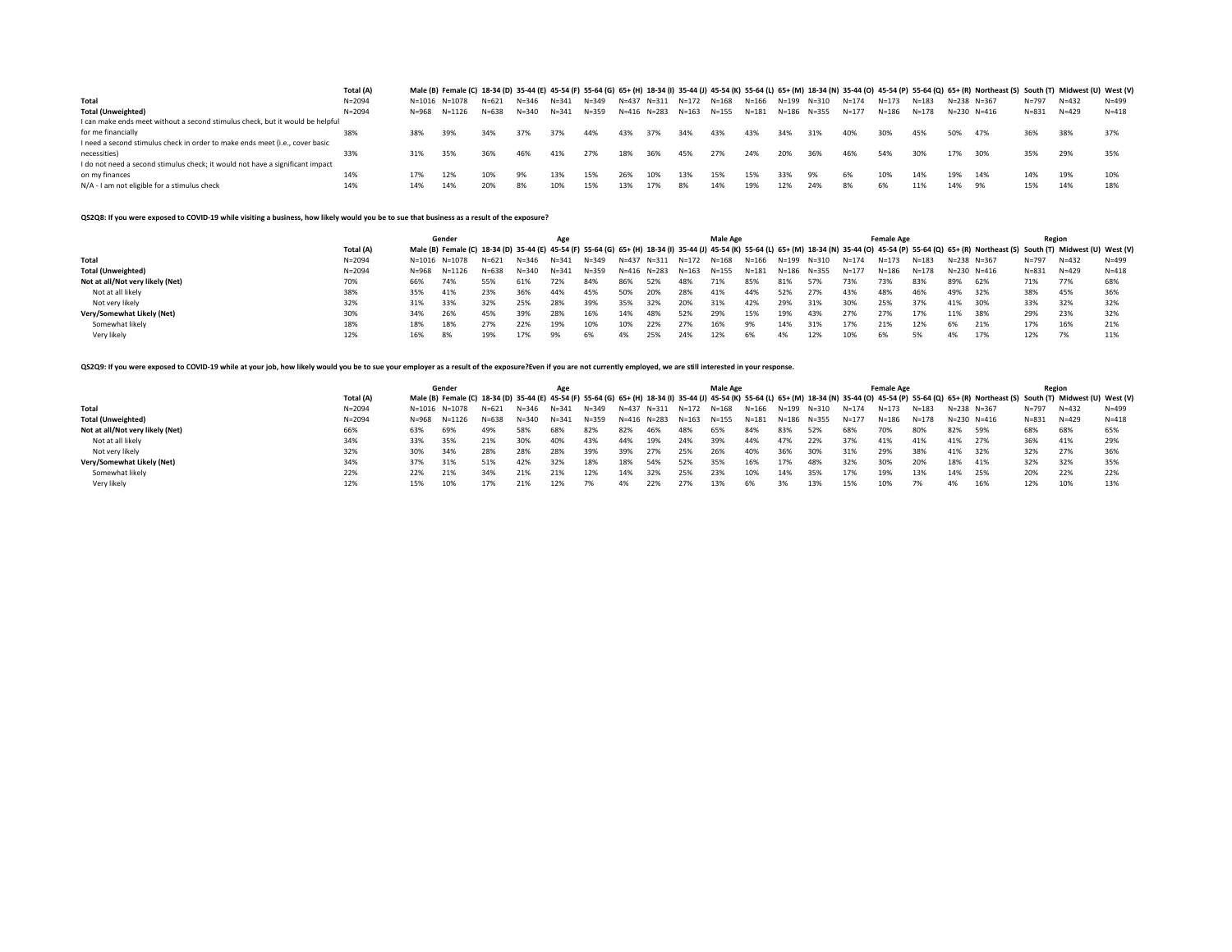|                                                                               | Total (A)  |       |               |           |       |           |           |     |                   |       |           |           |       |       |           |           |           |     | Male (B) Female (C) 18-34 (D) 35-44 (E) 45-54 (F) 55-64 (G) 65+ (H) 18-34 (I) 35-44 (J) 45-54 (K) 55-64 (L) 65+ (M) 18-34 (N) 35-44 (O) 45-54 (P) 55-64 (Q) 65+ (R) Northeast (S) South (T) Midwest (U) West (V) |           |           |           |
|-------------------------------------------------------------------------------|------------|-------|---------------|-----------|-------|-----------|-----------|-----|-------------------|-------|-----------|-----------|-------|-------|-----------|-----------|-----------|-----|------------------------------------------------------------------------------------------------------------------------------------------------------------------------------------------------------------------|-----------|-----------|-----------|
| Total                                                                         | $N = 2094$ |       | N=1016 N=1078 | $N = 621$ | N=346 | $N = 341$ | $N = 349$ |     | N=437 N=311 N=172 |       | N=168     | N=166     | N=199 | N=310 | $N = 174$ | $N = 173$ | $N = 183$ |     | N=238 N=367                                                                                                                                                                                                      | $N = 797$ | $N = 432$ | $N = 499$ |
| <b>Total (Unweighted)</b>                                                     | $N = 2094$ | N=968 | N=1126        | $N = 638$ | N=340 | $N = 341$ | $N = 359$ |     | N=416 N=283       | N=163 | $N = 155$ | $N = 181$ | N=186 | N=355 | $N = 177$ | $N = 186$ | $N = 178$ |     | $N = 230$ $N = 416$                                                                                                                                                                                              | $N = 831$ | $N = 429$ | $N = 418$ |
| I can make ends meet without a second stimulus check, but it would be helpful |            |       |               |           |       |           |           |     |                   |       |           |           |       |       |           |           |           |     |                                                                                                                                                                                                                  |           |           |           |
| for me financially                                                            | 38%        | 38%   | 39%           | 34%       | 37%   | 37%       | 44%       | 43% | 37%               | 34%   | 43%       | 43%       | 34%   | 31%   | 40%       | 30%       | 45%       | 50% | 47%                                                                                                                                                                                                              | 36%       | 38%       | 37%       |
| I need a second stimulus check in order to make ends meet (i.e., cover basic  |            |       |               |           |       |           |           |     |                   |       |           |           |       |       |           |           |           |     |                                                                                                                                                                                                                  |           |           |           |
| necessities)                                                                  | 33%        | 31%   | 35%           | 36%       | 46%   | 41%       | 27%       | 18% | 36%               | 45%   | 27%       | 24%       | 20%   | 36%   | 46%       | 54%       | 30%       | 17% | 30%                                                                                                                                                                                                              | 35%       | 29%       | 35%       |
| I do not need a second stimulus check; it would not have a significant impact |            |       |               |           |       |           |           |     |                   |       |           |           |       |       |           |           |           |     |                                                                                                                                                                                                                  |           |           |           |
| on my finances                                                                | 14%        | 17%   | 12%           | 10%       | 9%    | 13%       | 15%       | 26% | 10%               | 13%   | 15%       | 15%       | 33%   | 9%    | 6%        | 10%       | 14%       | 19% | 14%                                                                                                                                                                                                              | 14%       | 19%       | 10%       |
| N/A - I am not eligible for a stimulus check                                  | 14%        | 14%   | 14%           | 20%       | 8%    | 10%       | 15%       | 13% | 17%               | 8%    | 14%       | 19%       | 12%   | 24%   | 8%        | 6%        | 11%       | 14% | 9%                                                                                                                                                                                                               | 15%       | 14%       | 18%       |

**QS2Q8: If you were exposed to COVID-19 while visiting a business, how likely would you be to sue that business as a result of the exposure?**

|                                  |            |               | Gender |           |           | Age       |           |             |       |           | <b>Male Age</b> |           |           |       |           | <b>Female Age</b> |           |           |                                                                                                                                                                                                                  |           | Region    |           |
|----------------------------------|------------|---------------|--------|-----------|-----------|-----------|-----------|-------------|-------|-----------|-----------------|-----------|-----------|-------|-----------|-------------------|-----------|-----------|------------------------------------------------------------------------------------------------------------------------------------------------------------------------------------------------------------------|-----------|-----------|-----------|
|                                  | Total (A)  |               |        |           |           |           |           |             |       |           |                 |           |           |       |           |                   |           |           | Male (B) Female (C) 18-34 (D) 35-44 (E) 45-54 (F) 55-64 (G) 65+ (H) 18-34 (I) 35-44 (J) 45-54 (K) 55-64 (L) 65+ (M) 18-34 (N) 35-44 (O) 45-54 (P) 55-64 (Q) 65+ (R) Northeast (S) South (T) Midwest (U) West (V) |           |           |           |
| Total                            | $N = 2094$ | N=1016 N=1078 |        | $N = 621$ | $N = 346$ | $N = 341$ | N=349     | N=437       | N=311 | N=172     | N=168           | $N = 166$ | N=199     | N=310 | $N = 174$ | $N = 173$         | $N = 183$ | $N = 238$ | $N = 367$                                                                                                                                                                                                        | $N = 797$ | $N = 432$ | $N = 499$ |
| <b>Total (Unweighted)</b>        | $N = 2094$ | N=968         | N=1126 | $N = 638$ | N=340     | $N = 341$ | $N = 359$ | N=416 N=283 |       | $N = 163$ | $N = 155$       | $N = 181$ | $N = 186$ | N=355 | $N = 177$ | $N = 186$         | $N = 178$ | $N = 230$ | $N = 416$                                                                                                                                                                                                        | $N = 831$ | $N = 429$ | $N = 418$ |
| Not at all/Not very likely (Net) | 70%        | 66%           | 74%    | 55%       | 61%       | 72%       | 84%       | 86%         | 52%   | 48%       | 71%             | 85%       | 81%       | 57%   | 73%       | 73%               | 83%       | 89%       | 62%                                                                                                                                                                                                              | 71%       | 77%       | 68%       |
| Not at all likely                | 38%        | 35%           | 41%    | 23%       | 36%       | 44%       | 45%       | 50%         | 20%   | 28%       | 41%             | 44%       | 52%       | 27%   | 43%       | 48%               | 46%       | 49%       | 32%                                                                                                                                                                                                              | 38%       | 45%       | 36%       |
| Not very likely                  | 32%        | 31%           | 33%    | 32%       | 25%       | 28%       | 39%       | 35%         | 32%   | 20%       | 31%             | 42%       | 29%       | 31%   | 30%       | 25%               | 37%       | 41%       | 30%                                                                                                                                                                                                              | 33%       | 32%       | 32%       |
| Very/Somewhat Likely (Net)       | 30%        | 34%           | 26%    | 45%       | 39%       | 28%       | 16%       | 14%         | 48%   | 52%       | 29%             | 15%       | 19%       | 43%   | 27%       | 27%               | 17%       | 11%       | 38%                                                                                                                                                                                                              | 29%       | 23%       | 32%       |
| Somewhat likely                  | 18%        | 18%           | 18%    | 27%       | 22%       | 19%       | 10%       | 10%         | 22%   | 27%       | 16%             | 9%        | 14%       | 31%   | 17%       | 21%               | 12%       | 6%        | 21%                                                                                                                                                                                                              | 17%       | 16%       | 21%       |
| Very likely                      | 12%        | 16%           | 8%     | 19%       | 17%       | 9%        | 6%        | 4%          | 25%   | 24%       | 12%             | 6%        | 4%        | 12%   | 10%       | 6%                | 5%        | 4%        | 17%                                                                                                                                                                                                              | 12%       | 7%        | 11%       |

QS2Q9: If you were exposed to COVID-19 while at your job, how likely would you be to sue your employer as a result of the exposure?Even if you are not currently employed, we are still interested in your response.

|                                  |            |               | Gender |           |           | Age       |           |           |       |           | <b>Male Age</b> |           |           |           |           | <b>Female Age</b> |           |     |                                                                                                                                                                                                                  |           | Region    |           |
|----------------------------------|------------|---------------|--------|-----------|-----------|-----------|-----------|-----------|-------|-----------|-----------------|-----------|-----------|-----------|-----------|-------------------|-----------|-----|------------------------------------------------------------------------------------------------------------------------------------------------------------------------------------------------------------------|-----------|-----------|-----------|
|                                  | Total (A)  |               |        |           |           |           |           |           |       |           |                 |           |           |           |           |                   |           |     | Male (B) Female (C) 18-34 (D) 35-44 (E) 45-54 (F) 55-64 (G) 65+ (H) 18-34 (I) 35-44 (J) 45-54 (K) 55-64 (L) 65+ (M) 18-34 (N) 35-44 (O) 45-54 (P) 55-64 (Q) 65+ (R) Northeast (S) South (T) Midwest (U) West (V) |           |           |           |
| Total                            | $N = 2094$ | N=1016 N=1078 |        | $N = 621$ | N=346     | $N = 341$ | $N = 349$ | $N = 437$ | N=311 | $N = 172$ | N=168           | $N = 166$ | N=199     | N=310     | $N = 174$ | $N = 173$         | $N = 183$ |     | N=238 N=367                                                                                                                                                                                                      | $N = 797$ | $N = 432$ | $N = 499$ |
| <b>Total (Unweighted)</b>        | $N = 2094$ | N=968         | N=1126 | $N = 638$ | $N = 340$ | $N = 341$ | $N = 359$ | $N = 416$ | N=283 | $N = 163$ | $N = 155$       | $N = 181$ | $N = 186$ | $N = 355$ | $N = 17$  | $N = 186$         | $N = 178$ |     | $N = 230$ $N = 416$                                                                                                                                                                                              | $N = 831$ | $N = 429$ | $N = 418$ |
| Not at all/Not very likely (Net) | 66%        | 63%           | 69%    | 49%       | 58%       | 68%       | 82%       | 82%       | 46%   | 48%       | 65%             | 84%       | 83%       | 52%       | 68%       | 70%               | 80%       | 82% | 59%                                                                                                                                                                                                              | 68%       | 68%       | 65%       |
| Not at all likely                | 34%        | 33%           | 35%    | 21%       | 30%       | 40%       | 43%       | 44%       | 19%   | 24%       | 39%             | 44%       | 47%       | 22%       | 37%       | 41%               | 41%       | 41% | 27%                                                                                                                                                                                                              | 36%       | 41%       | 29%       |
| Not very likely                  | 32%        | 30%           | 34%    | 28%       | 28%       | 28%       | 39%       | 39%       | 27%   | 25%       | 26%             | 40%       | 36%       | 30%       | 31%       | 29%               | 38%       | 41% | 32%                                                                                                                                                                                                              | 32%       | 27%       | 36%       |
| Very/Somewhat Likely (Net)       | 34%        | 37%           | 31%    | 51%       | 42%       | 32%       | 18%       | 18%       | 54%   | 52%       | 35%             | 16%       | 17%       | 48%       | 32%       | 30%               | 20%       | 18% | 41%                                                                                                                                                                                                              | 32%       | 32%       | 35%       |
| Somewhat likely                  | 22%        | 22%           | 21%    | 34%       | 21%       | 21%       | 12%       | 14%       | 32%   | 25%       | 23%             | 10%       | 14%       | 35%       | 17%       | 19%               | 13%       | 14% | 25%                                                                                                                                                                                                              | 20%       | 22%       | 22%       |
| Very likely                      | 12%        | 15%           | 10%    | 17%       | 21%       | 12%       | 7%        | 4%        | 22%   | 27%       | 13%             | 6%        |           | 13%       | 15%       | 10%               | 7%        | 4%  | 16%                                                                                                                                                                                                              | 12%       | 10%       | 13%       |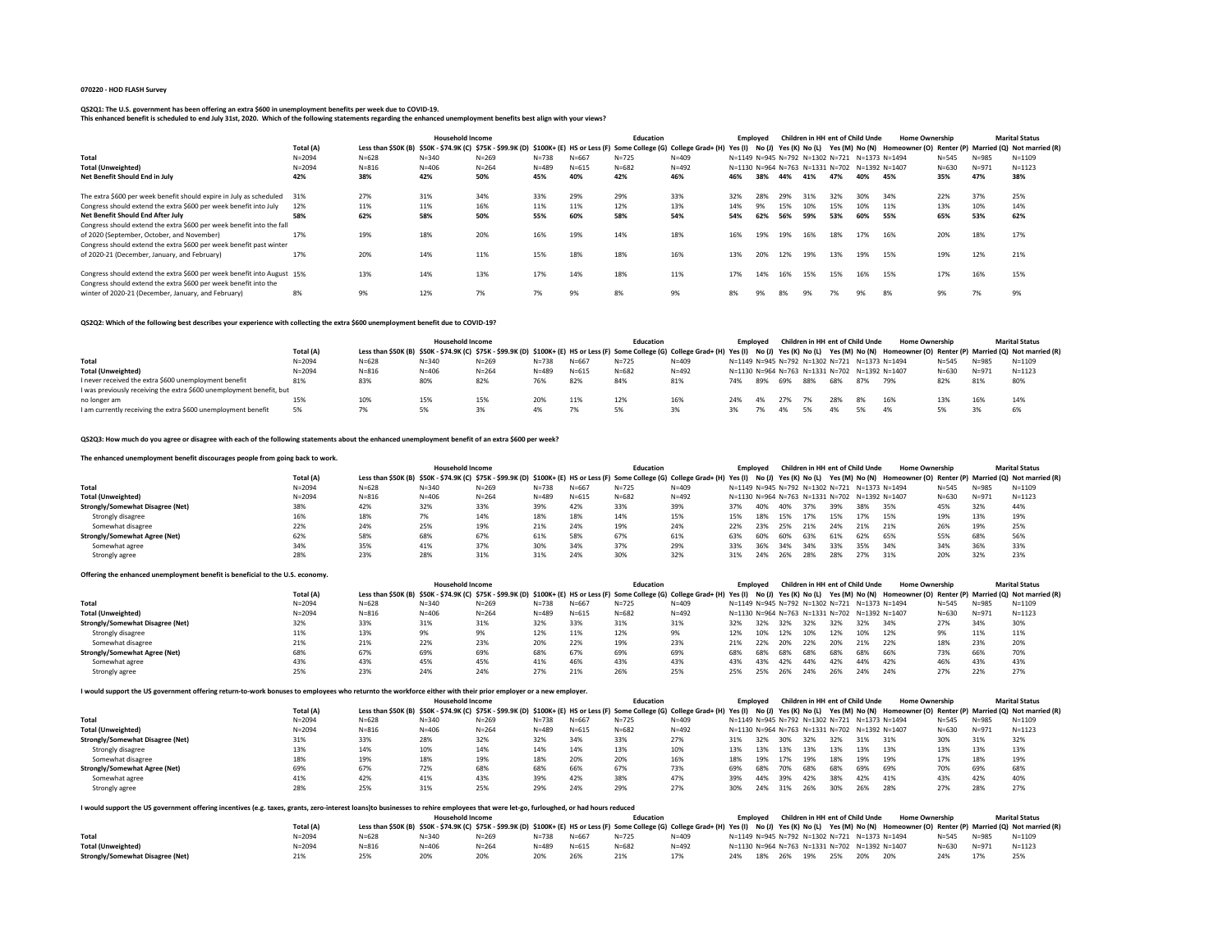#### **070220 - HOD FLASH Survey**

## **QS2Q1: The U.S. government has been offering an extra \$600 in unemployment benefits per week due to COVID-19.**

**This enhanced benefit is scheduled to end July 31st, 2020. Which of the following statements regarding the enhanced unemployment benefits best align with your views?**

|                                                                         |            |                                                                                                                                   | <b>Household Income</b> |           |           |           | <b>Education</b> |           | Employed                                      |     |     |     |     | Children in HH ent of Child Unde | <b>Home Ownership</b> |           |           | <b>Marital Status</b>                                                                     |
|-------------------------------------------------------------------------|------------|-----------------------------------------------------------------------------------------------------------------------------------|-------------------------|-----------|-----------|-----------|------------------|-----------|-----------------------------------------------|-----|-----|-----|-----|----------------------------------|-----------------------|-----------|-----------|-------------------------------------------------------------------------------------------|
|                                                                         | Total (A)  | Less than \$50K (B) \$50K - \$74.9K (C) \$75K - \$99.9K (D) \$100K+ (E) HS or Less (F) Some College (G) College Grad+ (H) Yes (I) |                         |           |           |           |                  |           |                                               |     |     |     |     |                                  |                       |           |           | No (J) Yes (K) No (L) Yes (M) No (N) Homeowner (O) Renter (P) Married (Q) Not married (R) |
| Total                                                                   | $N = 2094$ | $N = 628$                                                                                                                         | $N = 340$               | $N = 269$ | $N = 738$ | $N = 667$ | $N = 725$        | $N = 409$ | N=1149 N=945 N=792 N=1302 N=721 N=1373 N=1494 |     |     |     |     |                                  |                       | $N = 545$ | $N = 985$ | $N = 1109$                                                                                |
| <b>Total (Unweighted)</b>                                               | $N = 2094$ | $N = 816$                                                                                                                         | $N = 406$               | $N = 264$ | $N = 489$ | $N = 615$ | $N = 682$        | $N = 492$ | N=1130 N=964 N=763 N=1331 N=702 N=1392 N=1407 |     |     |     |     |                                  |                       | $N = 630$ | $N = 971$ | $N = 1123$                                                                                |
| Net Benefit Should End in July                                          | 42%        | 38%                                                                                                                               | 42%                     | 50%       | 45%       | 40%       | 42%              | 46%       | 46%                                           | 38% | 44% | 41% | 47% | 40%                              | 45%                   | 35%       | 47%       | 38%                                                                                       |
|                                                                         |            |                                                                                                                                   |                         |           |           |           |                  |           |                                               |     |     |     |     |                                  |                       |           |           |                                                                                           |
| The extra \$600 per week benefit should expire in July as scheduled 31% |            | 27%                                                                                                                               | 31%                     | 34%       | 33%       | 29%       | 29%              | 33%       | 32%                                           | 28% | 29% | 31% | 32% | 30%                              | 34%                   | 22%       | 37%       | 25%                                                                                       |
| Congress should extend the extra \$600 per week benefit into July       | 12%        | 11%                                                                                                                               | 11%                     | 16%       | 11%       | 11%       | 12%              | 13%       | 14%                                           |     | 15% | 10% | 15% | 10%                              | 11%                   | 13%       | 10%       | 14%                                                                                       |
| Net Benefit Should End After July                                       | 58%        | 62%                                                                                                                               | 58%                     | 50%       | 55%       | 60%       | 58%              | 54%       | 54%                                           | 62% | 56% | 59% | 53% | 60%                              | 55%                   | 65%       | 53%       | 62%                                                                                       |
| Congress should extend the extra \$600 per week benefit into the fall   |            |                                                                                                                                   |                         |           |           |           |                  |           |                                               |     |     |     |     |                                  |                       |           |           |                                                                                           |
| of 2020 (September, October, and November)                              | 17%        | 19%                                                                                                                               | 18%                     | 20%       | 16%       | 19%       | 14%              | 18%       | 16%                                           | 19% | 19% | 16% | 18% | 17%                              | 16%                   | 20%       | 18%       | 17%                                                                                       |
| Congress should extend the extra \$600 per week benefit past winter     |            |                                                                                                                                   |                         |           |           |           |                  |           |                                               |     |     |     |     |                                  |                       |           |           |                                                                                           |
| of 2020-21 (December, January, and February)                            | 17%        | 20%                                                                                                                               | 14%                     | 11%       | 15%       | 18%       | 18%              | 16%       | 13%                                           | 20% | 12% | 19% | 13% | 19%                              | 15%                   | 19%       | 12%       | 21%                                                                                       |
|                                                                         |            |                                                                                                                                   |                         |           |           |           |                  |           |                                               |     |     |     |     |                                  |                       |           |           |                                                                                           |
| Congress should extend the extra \$600 per week benefit into August 15% |            | 13%                                                                                                                               | 14%                     | 13%       | 17%       | 14%       | 18%              | 11%       | 17%                                           | 14% | 16% | 15% | 15% | 16%                              | 15%                   | 17%       | 16%       | 15%                                                                                       |
| Congress should extend the extra \$600 per week benefit into the        |            |                                                                                                                                   |                         |           |           |           |                  |           |                                               |     |     |     |     |                                  |                       |           |           |                                                                                           |
| winter of 2020-21 (December, January, and February)                     | 8%         | 9%                                                                                                                                | 12%                     | 7%        | 7%        | 9%        | 8%               | 9%        | 8%                                            | 9%  | 8%  | 9%  | 7%  | 9%                               | 8%                    | 9%        | 7%        | 9%                                                                                        |

### **QS2Q2: Which of the following best describes your experience with collecting the extra \$600 unemployment benefit due to COVID-19?**

|                                                                      |            |                                                                                                                                                                                                                             | <b>Household Income</b> |           |           |           | Education |           |     | Emploved |     |      |     | Children in HH ent of Child Unde              | <b>Home Ownership</b>                         |           |           | <b>Marital Status</b> |
|----------------------------------------------------------------------|------------|-----------------------------------------------------------------------------------------------------------------------------------------------------------------------------------------------------------------------------|-------------------------|-----------|-----------|-----------|-----------|-----------|-----|----------|-----|------|-----|-----------------------------------------------|-----------------------------------------------|-----------|-----------|-----------------------|
|                                                                      | Total (A)  | Less than \$50K (B) \$50K - \$74.9K (C) \$75K - \$99.9K (D) \$100K+ (E) HS or Less (F) Some College (G) College Grad+ (H) Yes (I) No (J) Yes (K) No (L) Yes (M) No (N) Homeowner (O) Renter (P) Married (Q) Not married (R) |                         |           |           |           |           |           |     |          |     |      |     |                                               |                                               |           |           |                       |
| Total                                                                | $N = 2094$ | $N = 628$                                                                                                                                                                                                                   | $N = 340$               | $N = 269$ | $N = 738$ | $N = 667$ | $N = 725$ | $N = 409$ |     |          |     |      |     | N=1149 N=945 N=792 N=1302 N=721 N=1373 N=1494 |                                               | $N = 545$ | $N = 985$ | $N = 1109$            |
| <b>Total (Unweighted)</b>                                            | $N = 2094$ | $N = 816$                                                                                                                                                                                                                   | $N = 406$               | $N = 264$ | $N = 489$ | $N = 615$ | $N = 682$ | $N = 492$ |     |          |     |      |     |                                               | N=1130 N=964 N=763 N=1331 N=702 N=1392 N=1407 | $N = 630$ | $N = 971$ | $N = 1123$            |
| I never received the extra \$600 unemployment benefit                | 81%        | 83%                                                                                                                                                                                                                         | 80%                     | 82%       | 76%       | 82%       | 84%       | 81%       | 74% | 89%      | 69% | 88%  | 68% | 87%                                           | 79%                                           | 82%       | 81%       | 80%                   |
| I was previously receiving the extra \$600 unemployment benefit, but |            |                                                                                                                                                                                                                             |                         |           |           |           |           |           |     |          |     |      |     |                                               |                                               |           |           |                       |
| no longer am                                                         | 15%        | 10%                                                                                                                                                                                                                         | 15%                     | 15%       | 20%       | 11%       | 12%       | 16%       |     |          |     | - 7% | 28% | 8%                                            | 16%                                           | 13%       | 16%       | 14%                   |
| I am currently receiving the extra \$600 unemployment benefit        | 5%         | 7%                                                                                                                                                                                                                          | 5%                      | 3%        |           |           |           | 3%        |     |          |     | 5%   | 4%  | 5%                                            | 4%                                            | 5%        | 3%        | 6%                    |

### **QS2Q3: How much do you agree or disagree with each of the following statements about the enhanced unemployment benefit of an extra \$600 per week?**

## **The enhanced unemployment benefit discourages people from going back to work.**

|                                         |            |                                                                                                                                                                                                                             | <b>Household Income</b> |           |           |           | <b>Education</b> |           |     | Emploved |     |     | Children in HH ent of Child Unde              |     | <b>Home Ownership</b> |           |           | <b>Marital Status</b> |
|-----------------------------------------|------------|-----------------------------------------------------------------------------------------------------------------------------------------------------------------------------------------------------------------------------|-------------------------|-----------|-----------|-----------|------------------|-----------|-----|----------|-----|-----|-----------------------------------------------|-----|-----------------------|-----------|-----------|-----------------------|
|                                         | Total (A)  | Less than \$50K (B) \$50K - \$74.9K (C) \$75K - \$99.9K (D) \$100K+ (E) HS or Less (F) Some College (G) College Grad+ (H) Yes (I) No (J) Yes (K) No (L) Yes (M) No (N) Homeowner (O) Renter (P) Married (Q) Not married (R) |                         |           |           |           |                  |           |     |          |     |     |                                               |     |                       |           |           |                       |
| Total                                   | $N = 2094$ | $N = 628$                                                                                                                                                                                                                   | $N = 340$               | $N = 269$ | $N = 738$ | $N = 667$ | $N = 725$        | $N = 409$ |     |          |     |     | N=1149 N=945 N=792 N=1302 N=721 N=1373 N=1494 |     |                       | $N = 545$ | $N = 985$ | $N = 1109$            |
| <b>Total (Unweighted)</b>               | $N = 2094$ | $N = 816$                                                                                                                                                                                                                   | $N = 406$               | $N = 264$ | $N = 489$ | $N = 615$ | $N = 682$        | $N = 492$ |     |          |     |     | N=1130 N=964 N=763 N=1331 N=702 N=1392 N=1407 |     |                       | $N = 630$ | $N = 971$ | $N = 1123$            |
| <b>Strongly/Somewhat Disagree (Net)</b> | 38%        | 42%                                                                                                                                                                                                                         | 32%                     | 33%       | 39%       | 42%       | 33%              | 39%       | 37% | 40%      | 40% | 37% | 39%                                           | 38% | 35%                   | 45%       | 32%       | 44%                   |
| Strongly disagree                       | 16%        | 18%                                                                                                                                                                                                                         | 7%                      | 14%       | 18%       | 18%       | 14%              | 15%       | 15% | 18%      | 15% | 17% | 15%                                           | 17% | 15%                   | 19%       | 13%       | 19%                   |
| Somewhat disagree                       | 22%        | 24%                                                                                                                                                                                                                         | 25%                     | 19%       | 21%       | 24%       | 19%              | 24%       | 22% | 23%      | 25% | 21% | 24%                                           | 21% | 21%                   | 26%       | 19%       | 25%                   |
| Strongly/Somewhat Agree (Net)           | 62%        | 58%                                                                                                                                                                                                                         | 68%                     | 67%       | 61%       | 58%       | 67%              | 61%       | 63% | 60%      | 60% | 63% | 61%                                           | 62% | 65%                   | 55%       | 68%       | 56%                   |
| Somewhat agree                          | 34%        | 35%                                                                                                                                                                                                                         | 41%                     | 37%       | 30%       | 34%       | 37%              | 29%       | 33% | 36%      | 34% | 34% | 33%                                           | 35% | 34%                   | 34%       | 36%       | 33%                   |
| Strongly agree                          | 28%        | 23%                                                                                                                                                                                                                         | 28%                     | 31%       |           | 24%       | 30%              | 32%       | 31% | 24%      | 26% | 28% | 28%                                           | 27% | 31%                   | 20%       | 32%       | 23%                   |

| Offering the enhanced unemployment benefit is beneficial to the U.S. economy. |            |                                                                                                                                                                                                                             |                         |           |           |           |                  |           |          |     |     |     |     |                                               |                                               |           |           |                       |
|-------------------------------------------------------------------------------|------------|-----------------------------------------------------------------------------------------------------------------------------------------------------------------------------------------------------------------------------|-------------------------|-----------|-----------|-----------|------------------|-----------|----------|-----|-----|-----|-----|-----------------------------------------------|-----------------------------------------------|-----------|-----------|-----------------------|
|                                                                               |            |                                                                                                                                                                                                                             | <b>Household Income</b> |           |           |           | <b>Education</b> |           | Employed |     |     |     |     | Children in HH ent of Child Unde              | <b>Home Ownership</b>                         |           |           | <b>Marital Status</b> |
|                                                                               | Total (A)  | Less than \$50K (B) \$50K - \$74.9K (C) \$75K - \$99.9K (D) \$100K+ (E) HS or Less (F) Some College (G) College Grad+ (H) Yes (I) No (J) Yes (K) No (L) Yes (M) No (N) Homeowner (O) Renter (P) Married (Q) Not married (R) |                         |           |           |           |                  |           |          |     |     |     |     |                                               |                                               |           |           |                       |
| Total                                                                         | $N = 2094$ | $N = 628$                                                                                                                                                                                                                   | $N = 340$               | $N = 269$ | $N = 738$ | $N = 667$ | $N = 725$        | $N = 409$ |          |     |     |     |     | N=1149 N=945 N=792 N=1302 N=721 N=1373 N=1494 |                                               | $N = 545$ | $N = 985$ | $N = 1109$            |
| <b>Total (Unweighted)</b>                                                     | $N = 2094$ | $N = 816$                                                                                                                                                                                                                   | $N = 406$               | $N = 264$ | $N = 489$ | $N = 615$ | $N = 682$        | $N = 492$ |          |     |     |     |     |                                               | N=1130 N=964 N=763 N=1331 N=702 N=1392 N=1407 | $N = 630$ | $N = 971$ | $N = 1123$            |
| Strongly/Somewhat Disagree (Net)                                              | 32%        | 33%                                                                                                                                                                                                                         | 31%                     | 31%       | 32%       | 33%       | 31%              | 31%       | 32%      | 32% | 32% | 32% | 32% |                                               | 34%                                           | 27%       | 34%       | 30%                   |
| Strongly disagree                                                             | 11%        | 13%                                                                                                                                                                                                                         | 9%                      | 9%        | 12%       | 11%       | 12%              | 9%        | 12%      | 10% | 12% | 10% | 12% | 10%                                           | 12%                                           | 9%        | 11%       | 11%                   |
| Somewhat disagree                                                             | 21%        | 21%                                                                                                                                                                                                                         | 22%                     | 23%       | 20%       | 22%       | 19%              | 23%       | 21%      | 22% | 20% | 22% | 20% | 21%                                           | 22%                                           | 18%       | 23%       | 20%                   |
| Strongly/Somewhat Agree (Net)                                                 | 68%        | 67%                                                                                                                                                                                                                         | 69%                     | 69%       | 68%       | 67%       | 69%              | 69%       | 68%      | 68% | 68% | 68% | 68% | 68%                                           | 66%                                           | 73%       | 66%       | 70%                   |
| Somewhat agree                                                                | 43%        | 43%                                                                                                                                                                                                                         | 45%                     | 45%       | 41%       | 46%       | 43%              | 43%       | 43%      | 43% | 42% | 44% | 42% | 44%                                           | 42%                                           | 46%       | 43%       | 43%                   |
| Strongly agree                                                                | 25%        | 23%                                                                                                                                                                                                                         | 24%                     | 24%       | 27%       | 21%       | 26%              | 25%       | 25%      | 25% | 26% | 24% | 26% | 24%                                           | 24%                                           | 27%       | 22%       | 27%                   |

### **I would support the US government offering return-to-work bonuses to employees who returnto the workforce either with their prior employer or a new employer.**

|                                  |            |                                                                                                                                                                        | <b>Household Income</b> |           |           |           | Education |           |     | Emploved |     |     |     | Children in HH ent of Child Unde              | <b>Home Ownership</b> |           |           | <b>Marital Status</b>                                |
|----------------------------------|------------|------------------------------------------------------------------------------------------------------------------------------------------------------------------------|-------------------------|-----------|-----------|-----------|-----------|-----------|-----|----------|-----|-----|-----|-----------------------------------------------|-----------------------|-----------|-----------|------------------------------------------------------|
|                                  | Total (A)  | Less than \$50K (B) \$50K - \$74.9K (C) \$75K - \$99.9K (D) \$100K+ (E) HS or Less (F) Some College (G) College Grad+ (H) Yes (I) No (J) Yes (K) No (L) Yes (M) No (N) |                         |           |           |           |           |           |     |          |     |     |     |                                               |                       |           |           | Homeowner (O) Renter (P) Married (Q) Not married (R) |
| Total                            | $N = 2094$ | $N = 628$                                                                                                                                                              | $N = 340$               | $N = 269$ | $N = 738$ | $N = 667$ | $N = 725$ | $N = 409$ |     |          |     |     |     | N=1149 N=945 N=792 N=1302 N=721 N=1373 N=1494 |                       | $N = 545$ | $N = 985$ | $N = 1109$                                           |
| <b>Total (Unweighted)</b>        | $N = 2094$ | $N = 816$                                                                                                                                                              | $N = 406$               | $N = 264$ | $N = 489$ | $N = 615$ | $N = 682$ | $N = 492$ |     |          |     |     |     | N=1130 N=964 N=763 N=1331 N=702 N=1392 N=1407 |                       | $N = 630$ | $N = 971$ | $N = 1123$                                           |
| Strongly/Somewhat Disagree (Net) | 31%        | 33%                                                                                                                                                                    | 28%                     | 32%       | 32%       | 34%       | 33%       | 27%       |     | 32%      | 30% | 32% | 32% | 31%                                           | 31%                   | 30%       | 31%       | 32%                                                  |
| Strongly disagree                | 13%        | 14%                                                                                                                                                                    | 10%                     | 14%       | 14%       | 14%       | 13%       | 10%       | 13% | 13%      | 13% | 13% | 13% | 13%                                           | 13%                   | 13%       | 13%       | 13%                                                  |
| Somewhat disagree                | 18%        | 19%                                                                                                                                                                    | 18%                     | 19%       | 18%       | 20%       | 20%       | 16%       | 18% | 19%      | 17% | 19% | 18% | 19%                                           | 19%                   | 17%       | 18%       | 19%                                                  |
| Strongly/Somewhat Agree (Net)    | 69%        | 67%                                                                                                                                                                    | 72%                     | 68%       | 68%       | 66%       | 67%       | 73%       | 69% | 68%      | 70% | 68% | 68% | 69%                                           | 69%                   | 70%       | 69%       | 68%                                                  |
| Somewhat agree                   | 41%        | 42%                                                                                                                                                                    | 41%                     | 43%       | 39%       | 42%       | 38%       | 47%       | 39% | 44%      | 39% | 42% | 38% | 42%                                           | 41%                   | 43%       | 42%       | 40%                                                  |
| Strongly agree                   | 28%        | 25%                                                                                                                                                                    | 31%                     | 25%       | 29%       | 24%       | 29%       | 27%       | 30% | 24%      | 31% | 26% | 30% | 26%                                           | 28%                   | 27%       | 28%       | 27%                                                  |

| I would support the US government offering incentives (e.g. taxes, grants, zero-interest loans)to businesses to rehire employees that were let-go, furloughed, or had hours reduced |            |                                                                                                                                                                                                                             |                  |           |           |           |           |           |                                               |     |     |     |     |                                  |     |                       |           |                       |
|-------------------------------------------------------------------------------------------------------------------------------------------------------------------------------------|------------|-----------------------------------------------------------------------------------------------------------------------------------------------------------------------------------------------------------------------------|------------------|-----------|-----------|-----------|-----------|-----------|-----------------------------------------------|-----|-----|-----|-----|----------------------------------|-----|-----------------------|-----------|-----------------------|
|                                                                                                                                                                                     |            |                                                                                                                                                                                                                             | Household Income |           |           |           | Education |           | Employed                                      |     |     |     |     | Children in HH ent of Child Unde |     | <b>Home Ownership</b> |           | <b>Marital Status</b> |
|                                                                                                                                                                                     | Total (A)  | Less than \$50K (B) \$50K - \$74.9K (C) \$75K - \$99.9K (D) \$100K+ (E) HS or Less (F) Some College (G) College Grad+ (H) Yes (I) No (J) Yes (K) No (L) Yes (M) No (N) Homeowner (O) Renter (P) Married (Q) Not married (R) |                  |           |           |           |           |           |                                               |     |     |     |     |                                  |     |                       |           |                       |
| Total                                                                                                                                                                               | $N = 2094$ | $N = 628$                                                                                                                                                                                                                   | $N = 340$        | $N = 269$ | $N = 738$ | $N = 667$ | $N = 725$ | $N = 409$ | N=1149 N=945 N=792 N=1302 N=721 N=1373 N=1494 |     |     |     |     |                                  |     | $N = 545$             | $N = 985$ | $N = 1109$            |
| <b>Total (Unweighted)</b>                                                                                                                                                           | $N = 2094$ | $N = 816$                                                                                                                                                                                                                   | $N = 406$        | $N = 264$ | $N = 489$ | $N = 615$ | $N = 682$ | $N = 492$ | N=1130 N=964 N=763 N=1331 N=702 N=1392 N=1407 |     |     |     |     |                                  |     | $N = 630$             | $N = 971$ | $N = 1123$            |
| <b>Strongly/Somewhat Disagree (Net)</b>                                                                                                                                             | 21%        | 25%                                                                                                                                                                                                                         | 20%              | 20%       |           |           | 21%       | 17%       | 24%                                           | 18% | 26% | 19% | 25% | 20%                              | 20% | 24%                   |           | 25%                   |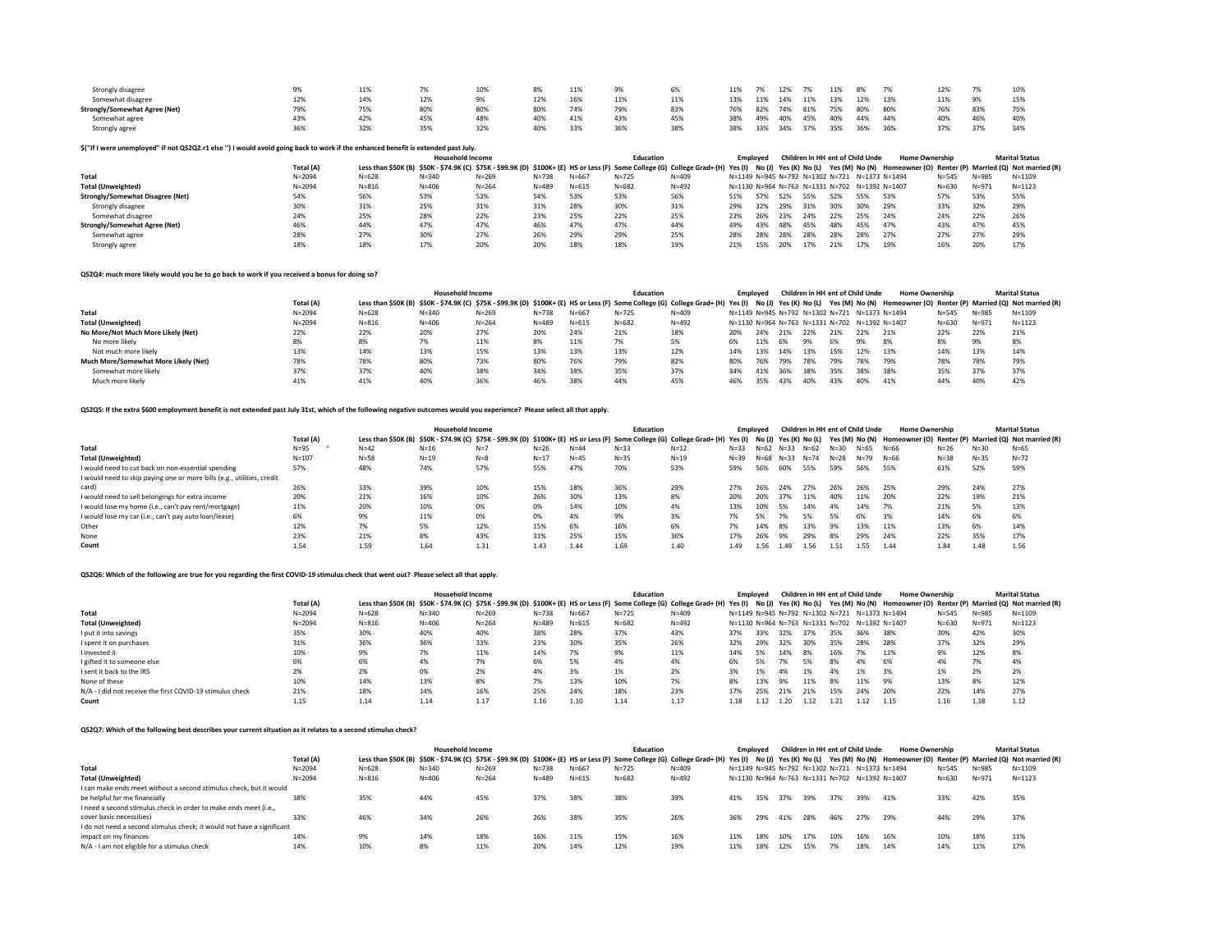| Strongly disagree                    |     | 11% |     | 10% |     | 11% | 9%  | 6%  | 11% |     | 12% | 7%  | 11% | 8%  |     | 12% | 7%  | 10% |
|--------------------------------------|-----|-----|-----|-----|-----|-----|-----|-----|-----|-----|-----|-----|-----|-----|-----|-----|-----|-----|
| Somewhat disagree                    | 12% | 14% |     |     | 12% | 16% | 11% | 11% | 13% | 11% | 14% | 11% | 13% | 12% | 13% | 11% | 9%  | 15% |
| <b>Strongly/Somewhat Agree (Net)</b> | 79% | 75% | 80% | 80% |     | 74% | 79% | 83% | 76% | 82% | 74% | 81% | 75% | 80% | 80% | 76% | 83% | 75% |
| Somewhat agree                       | 43% | 42% | 45% | 48% |     | 41% | 43% | 45% | 38% | 49% | 40% | 45% | 40% | 44% | 44% | 40% | 46% | 40% |
| Strongly agree                       | 36% | 32% | 35% | 32% | 40% | 33% | 36% | 38% | 38% | 33% | 34% | 37% | 35% | 36% | 36% | 37% | 37% | 34% |

## **\${"If I were unemployed" if not QS2Q2.r1 else ''} I would avoid going back to work if the enhanced benefit is extended past July.**

|                                         |            |                                                                                                                                   | <b>Household Income</b> |           |           |           | <b>Education</b> |           |     | Emploved |       |     |                                      | Children in HH ent of Child Unde              | <b>Home Ownership</b> |           |           | <b>Marital Status</b>                                |
|-----------------------------------------|------------|-----------------------------------------------------------------------------------------------------------------------------------|-------------------------|-----------|-----------|-----------|------------------|-----------|-----|----------|-------|-----|--------------------------------------|-----------------------------------------------|-----------------------|-----------|-----------|------------------------------------------------------|
|                                         | Total (A)  | Less than \$50K (B) \$50K - \$74.9K (C) \$75K - \$99.9K (D) \$100K+ (E) HS or Less (F) Some College (G) College Grad+ (H) Yes (I) |                         |           |           |           |                  |           |     |          |       |     | No (J) Yes (K) No (L) Yes (M) No (N) |                                               |                       |           |           | Homeowner (O) Renter (P) Married (Q) Not married (R) |
| Total                                   | $N = 2094$ | $N = 628$                                                                                                                         | $N = 340$               | $N = 269$ | $N = 738$ | $N = 667$ | $N = 725$        | $N = 409$ |     |          |       |     |                                      | N=1149 N=945 N=792 N=1302 N=721 N=1373 N=1494 |                       | $N = 545$ | $N = 985$ | $N = 1109$                                           |
| <b>Total (Unweighted)</b>               | $N = 2094$ | $N = 816$                                                                                                                         | $N = 406$               | $N = 264$ | $N = 489$ | $N = 615$ | $N = 682$        | $N = 492$ |     |          |       |     |                                      | N=1130 N=964 N=763 N=1331 N=702 N=1392 N=1407 |                       | $N = 630$ | $N = 971$ | $N = 1123$                                           |
| <b>Strongly/Somewhat Disagree (Net)</b> | 54%        | 56%                                                                                                                               | 53%                     | 53%       | 54%       | 53%       | 53%              | 56%       | 51% | 57%      | 52%   | 55% | 52%                                  | 55%                                           | 53%                   | 57%       | 53%       | 55%                                                  |
| Strongly disagree                       | 30%        | 31%                                                                                                                               | 25%                     | 31%       | 31%       | 28%       | 30%              | 31%       | 29% | 32%      | - 29% | 31% | 30%                                  | 30%                                           | 29%                   | 33%       | 32%       | 29%                                                  |
| Somewhat disagree                       | 24%        | 25%                                                                                                                               | 28%                     | 22%       | 23%       | 25%       | 22%              | 25%       | 23% | 26%      | 23%   | 24% | 22%                                  | 25%                                           | 24%                   | 24%       | 22%       | 26%                                                  |
| <b>Strongly/Somewhat Agree (Net)</b>    | 46%        | 44%                                                                                                                               | 47%                     | 47%       | 46%       | 47%       | 47%              | 44%       | 49% | 43%      | 48%   | 45% | 48%                                  | 45%                                           | 47%                   | 43%       | 47%       | 45%                                                  |
| Somewhat agree                          | 28%        | 27%                                                                                                                               | 30%                     | 27%       | 26%       | 29%       | 29%              | 25%       | 28% | 28%      | 28%   | 28% | 28%                                  | 28%                                           | 27%                   | 27%       | 27%       | 29%                                                  |
| Strongly agree                          | 18%        | 18%                                                                                                                               | 17%                     | 20%       | 20%       | 18%       | 18%              | 19%       |     | 15%      | 20%   | 17% | 21%                                  | 17%                                           | 19%                   | 16%       | 20%       | 17%                                                  |

### **QS2Q4: much more likely would you be to go back to work if you received a bonus for doing so?**

|                                      |            |                                                                                                                                                                                                                             | <b>Household Income</b> |           |           |           | <b>Education</b> |           | Emploved |     |      |       | Children in HH ent of Child Unde              |     | <b>Home Ownership</b> |           |           | <b>Marital Status</b> |
|--------------------------------------|------------|-----------------------------------------------------------------------------------------------------------------------------------------------------------------------------------------------------------------------------|-------------------------|-----------|-----------|-----------|------------------|-----------|----------|-----|------|-------|-----------------------------------------------|-----|-----------------------|-----------|-----------|-----------------------|
|                                      | Total (A)  | Less than \$50K (B) \$50K - \$74.9K (C) \$75K - \$99.9K (D) \$100K+ (E) HS or Less (F) Some College (G) College Grad+ (H) Yes (I) No (J) Yes (K) No (L) Yes (M) No (N) Homeowner (O) Renter (P) Married (Q) Not married (R) |                         |           |           |           |                  |           |          |     |      |       |                                               |     |                       |           |           |                       |
| Total                                | $N = 2094$ | $N = 628$                                                                                                                                                                                                                   | $N = 340$               | $N = 269$ | $N = 738$ | $N = 667$ | $N = 725$        | $N = 409$ |          |     |      |       | N=1149 N=945 N=792 N=1302 N=721 N=1373 N=1494 |     |                       | $N = 545$ | $N = 985$ | $N = 1109$            |
| <b>Total (Unweighted)</b>            | $N = 2094$ | $N = 816$                                                                                                                                                                                                                   | $N = 406$               | $N = 264$ | $N = 489$ | $N = 615$ | $N = 682$        | $N = 492$ |          |     |      |       | N=1130 N=964 N=763 N=1331 N=702 N=1392 N=1407 |     |                       | $N = 630$ | $N = 971$ | $N = 1123$            |
| No More/Not Much More Likely (Net)   | 22%        | 22%                                                                                                                                                                                                                         | 20%                     | 27%       | 20%       | 24%       | 21%              | 18%       |          | 24% | -21% | - 22% |                                               | 22% | 21%                   | 22%       | 22%       | 21%                   |
| No more likely                       | 8%         |                                                                                                                                                                                                                             | 7%                      | 11%       | 8%        | 11%       |                  | 5%        | 6%       | 11% | - 6% | 9%    | 6%                                            | 9%  | 8%                    | 8%        | 9%        | 8%                    |
| Not much more likely                 | 13%        | 14%                                                                                                                                                                                                                         | 13%                     | 15%       | 13%       | 13%       | 13%              | 12%       | 14%      | 13% | 14%  | 13%   | 15%                                           | 12% | 13%                   | 14%       | 13%       | 14%                   |
| Much More/Somewhat More Likely (Net) | 78%        | 78%                                                                                                                                                                                                                         | 80%                     | 73%       | 80%       | 76%       | 79%              | 82%       | 80%      | 76% | 79%  | 78%   | 79%                                           | 78% | 79%                   | 78%       | 78%       | 79%                   |
| Somewhat more likely                 | 37%        | 37%                                                                                                                                                                                                                         | 40%                     | 38%       | 34%       | 38%       | 35%              | 37%       | 34%      | 41% | 36%  | 38%   | 35%                                           | 38% | 38%                   | 35%       | 37%       | 37%                   |
| Much more likely                     | 41%        | 41%                                                                                                                                                                                                                         | 40%                     | 36%       | 46%       | 38%       | 44%              | 45%       | 46%      | 35% | 43%  | 40%   | 43%                                           | 40% | 41%                   | 44%       | 40%       | 42%                   |

## **QS2Q5: If the extra \$600 employment benefit is not extended past July 31st, which of the following negative outcomes would you experience? Please select all that apply.**

|                                                                        |           |                                                                                                                                                                                                                             | <b>Household Income</b> |       |        |          | Education |          | Emploved |          |                   |          |          | Children in HH ent of Child Unde | <b>Home Ownership</b> |          |          | <b>Marital Status</b> |
|------------------------------------------------------------------------|-----------|-----------------------------------------------------------------------------------------------------------------------------------------------------------------------------------------------------------------------------|-------------------------|-------|--------|----------|-----------|----------|----------|----------|-------------------|----------|----------|----------------------------------|-----------------------|----------|----------|-----------------------|
|                                                                        | Total (A) | Less than \$50K (B) \$50K - \$74.9K (C) \$75K - \$99.9K (D) \$100K+ (E) HS or Less (F) Some College (G) College Grad+ (H) Yes (I) No (J) Yes (K) No (L) Yes (M) No (N) Homeowner (O) Renter (P) Married (Q) Not married (R) |                         |       |        |          |           |          |          |          |                   |          |          |                                  |                       |          |          |                       |
| Total                                                                  | $N = 95$  | $N=42$                                                                                                                                                                                                                      | $N=16$                  | $N=7$ | $N=26$ | $N = 44$ | $N = 33$  | $N=12$   | $N = 33$ | $N = 62$ | $N = 33$ $N = 62$ |          | $N = 30$ | $N = 65$                         | $N = 66$              | $N = 26$ | $N = 30$ | $N=65$                |
| <b>Total (Unweighted)</b>                                              | $N = 107$ | $N = 58$                                                                                                                                                                                                                    | $N=19$                  | $N=8$ | $N=17$ | $N = 45$ | $N = 35$  | $N = 19$ | $N = 39$ | $N = 68$ | $N = 33$          | $N = 74$ | $N = 28$ | $N = 79$                         | $N = 66$              | $N = 38$ | $N = 35$ | $N = 72$              |
| I would need to cut back on non-essential spending                     | 57%       | 48%                                                                                                                                                                                                                         | 74%                     | 57%   | 55%    | 47%      | 70%       | 53%      | 59%      | 56%      | 60%               | 55%      | 59%      | 56%                              | 55%                   | 61%      | 52%      | 59%                   |
| I would need to skip paying one or more bills (e.g., utilities, credit |           |                                                                                                                                                                                                                             |                         |       |        |          |           |          |          |          |                   |          |          |                                  |                       |          |          |                       |
| card)                                                                  | 26%       | 33%                                                                                                                                                                                                                         | 39%                     | 10%   | 15%    | 18%      | 36%       | 29%      | 27%      | 26%      | 24%               | 27%      | 26%      | 26%                              | 25%                   | 29%      | 24%      | 27%                   |
| I would need to sell belongings for extra income                       | 20%       | 21%                                                                                                                                                                                                                         | 16%                     | 10%   | 26%    | 30%      | 13%       | 8%       | 20%      | 20%      | 37%               | 11%      | 40%      | 11%                              | 20%                   | 22%      | 19%      | 21%                   |
| I would lose my home (i.e., can't pay rent/mortgage)                   | 11%       | 20%                                                                                                                                                                                                                         | 10%                     | 0%    | 0%     | 14%      | 10%       | 4%       | 13%      | 10%      | 5%                | 14%      | 4%       | 14%                              | 7%                    | 21%      | 5%       | 13%                   |
| I would lose my car (i.e., can't pay auto loan/lease)                  | 6%        | 9%                                                                                                                                                                                                                          | 11%                     | 0%    | 0%     | 4%       | 9%        | 3%       | 7%       | 5%       | 7%                | 5%       | 5%       | 6%                               | 3%                    | 14%      | 6%       | 6%                    |
| Other                                                                  | 12%       | 7%                                                                                                                                                                                                                          | 5%                      | 12%   | 15%    | 6%       | 16%       | 6%       | 7%       | 14%      | 8%                | 13%      | 9%       | 13%                              | 11%                   | 13%      | 6%       | 14%                   |
| None                                                                   | 23%       | 21%                                                                                                                                                                                                                         | 8%                      | 43%   | 31%    | 25%      | 15%       | 36%      | 17%      | 26%      | 9%                | 29%      | 8%       | 29%                              | 24%                   | 22%      | 35%      | 17%                   |
| Count                                                                  | 1.54      | 1.59                                                                                                                                                                                                                        | 1.64                    | 1.31  | 1.43   | 1.44     | 1.69      | 1.40     | 1.49     | 1.56     | 1.49              | 1.56     | 1.51     | 1.55                             | 1.44                  | 1.84     | 1.48     | 1.56                  |

## **QS2Q6: Which of the following are true for you regarding the first COVID-19 stimulus check that went out? Please select all that apply.**

|                                                           |            |                                                                                                                                                                                                                             | <b>Household Income</b> |           |           |           | Education |           |     | Emploved |      |      |      | Children in HH ent of Child Unde              | <b>Home Ownership</b> |           |           | <b>Marital Status</b> |
|-----------------------------------------------------------|------------|-----------------------------------------------------------------------------------------------------------------------------------------------------------------------------------------------------------------------------|-------------------------|-----------|-----------|-----------|-----------|-----------|-----|----------|------|------|------|-----------------------------------------------|-----------------------|-----------|-----------|-----------------------|
|                                                           | Total (A)  | Less than \$50K (B) \$50K - \$74.9K (C) \$75K - \$99.9K (D) \$100K+ (E) HS or Less (F) Some College (G) College Grad+ (H) Yes (I) No (J) Yes (K) No (L) Yes (M) No (N) Homeowner (O) Renter (P) Married (Q) Not married (R) |                         |           |           |           |           |           |     |          |      |      |      |                                               |                       |           |           |                       |
| Total                                                     | $N = 2094$ | $N = 628$                                                                                                                                                                                                                   | $N = 340$               | $N = 269$ | $N = 738$ | $N = 667$ | $N = 725$ | $N = 409$ |     |          |      |      |      | N=1149 N=945 N=792 N=1302 N=721 N=1373 N=1494 |                       | $N = 545$ | $N = 985$ | $N = 1109$            |
| <b>Total (Unweighted)</b>                                 | $N = 2094$ | $N = 816$                                                                                                                                                                                                                   | $N = 406$               | $N = 264$ | $N = 489$ | $N = 615$ | $N = 682$ | $N = 492$ |     |          |      |      |      | N=1130 N=964 N=763 N=1331 N=702 N=1392 N=1407 |                       | $N = 630$ | $N = 971$ | $N = 1123$            |
| I put it into savings                                     | 35%        | 30%                                                                                                                                                                                                                         | 40%                     | 40%       | 38%       | 28%       | 37%       | 43%       | 37% | 33%      | 32%  | 37%  | 35%  | 36%                                           | 38%                   | 30%       | 42%       | 30%                   |
| I spent it on purchases                                   | 31%        | 36%                                                                                                                                                                                                                         | 36%                     | 33%       | 23%       | 30%       | 35%       | 26%       | 32% | 29%      | 32%  | 30%  | 35%  | 28%                                           | 28%                   | 37%       | 32%       | 29%                   |
| I invested it                                             | 10%        | 9%                                                                                                                                                                                                                          | 7%                      | 11%       | 14%       | 7%        | 9%        | 11%       | 14% | 5%       | 14%  | 8%   | 16%  | 7%                                            | 11%                   | 9%        | 12%       | 8%                    |
| I gifted it to someone else                               | 6%         | 6%                                                                                                                                                                                                                          | 4%                      | 7%        | 6%        | 5%        | 4%        | 4%        | 6%  | 5%       | 7%   | 5%   | 8%   | 4%                                            | 6%                    | 4%        | 7%        | 4%                    |
| I sent it back to the IRS                                 | 2%         | 2%                                                                                                                                                                                                                          | 0%                      | 2%        | 4%        | 3%        | 1%        | 2%        |     | 1%       | 4%   | 1%   | 4%   | 1%                                            | 3%                    | 1%        | 2%        | 2%                    |
| None of these                                             | 10%        | 14%                                                                                                                                                                                                                         | 13%                     | 8%        | 7%        | 13%       | 10%       | 7%        | 8%  | 13%      | 9%   | 11%  | 8%   | 11%                                           | 9%                    | 13%       | 8%        | 12%                   |
| N/A - I did not receive the first COVID-19 stimulus check | 21%        | 18%                                                                                                                                                                                                                         | 14%                     | 16%       | 25%       | 24%       | 18%       | 23%       | 17% | 25%      | 21%  | 21%  | 15%  | 24%                                           | 20%                   | 22%       | 14%       | 27%                   |
| Count                                                     | 1.15       | 1.14                                                                                                                                                                                                                        | 1.14                    | 1.17      | 1.16      | 1.10      | 1.14      | 1.17      | .18 | $.12 -$  | 1.20 | 1.12 | 1.21 | 1.12                                          | 1.15                  | 1.16      | 1.18      | 1.12                  |

## **QS2Q7: Which of the following best describes your current situation as it relates to a second stimulus check?**

|                                                                        |            |                                                                                                                                                                                                                             | <b>Household Income</b> |           |           |           | <b>Education</b> |           |     | Emploved |     |     |      | Children in HH ent of Child Unde              | <b>Home Ownership</b> |           |           | <b>Marital Status</b> |
|------------------------------------------------------------------------|------------|-----------------------------------------------------------------------------------------------------------------------------------------------------------------------------------------------------------------------------|-------------------------|-----------|-----------|-----------|------------------|-----------|-----|----------|-----|-----|------|-----------------------------------------------|-----------------------|-----------|-----------|-----------------------|
|                                                                        | Total (A)  | Less than \$50K (B) \$50K - \$74.9K (C) \$75K - \$99.9K (D) \$100K+ (E) HS or Less (F) Some College (G) College Grad+ (H) Yes (I) No (J) Yes (K) No (L) Yes (M) No (N) Homeowner (O) Renter (P) Married (Q) Not married (R) |                         |           |           |           |                  |           |     |          |     |     |      |                                               |                       |           |           |                       |
| Total                                                                  | $N = 2094$ | $N = 628$                                                                                                                                                                                                                   | $N = 340$               | $N = 269$ | $N = 738$ | $N = 66$  | $N = 725$        | $N = 409$ |     |          |     |     |      | N=1149 N=945 N=792 N=1302 N=721 N=1373 N=1494 |                       | $N = 545$ | $N = 985$ | $N = 1109$            |
| <b>Total (Unweighted)</b>                                              | $N = 2094$ | $N = 816$                                                                                                                                                                                                                   | $N = 406$               | $N = 264$ | $N = 489$ | $N = 615$ | $N = 682$        | $N = 492$ |     |          |     |     |      | N=1130 N=964 N=763 N=1331 N=702 N=1392 N=1407 |                       | $N = 630$ | $N = 971$ | $N = 1123$            |
| I can make ends meet without a second stimulus check, but it would     |            |                                                                                                                                                                                                                             |                         |           |           |           |                  |           |     |          |     |     |      |                                               |                       |           |           |                       |
| be helpful for me financially                                          | 38%        | 35%                                                                                                                                                                                                                         | 44%                     | 45%       | 37%       | 38%       | 38%              | 39%       | 41% | 35%      | 37% | 39% | 37%  | 39%                                           | 41%                   | 33%       | 42%       | 35%                   |
| I need a second stimulus check in order to make ends meet (i.e.,       |            |                                                                                                                                                                                                                             |                         |           |           |           |                  |           |     |          |     |     |      |                                               |                       |           |           |                       |
| cover basic necessities)                                               | 33%        | 46%                                                                                                                                                                                                                         | 34%                     | 26%       | 26%       | 38%       | 35%              | 26%       | 36% | 29%      | 41% | 28% | 46%  | 27%                                           | 29%                   | 44%       | 29%       | 37%                   |
| I do not need a second stimulus check; it would not have a significant |            |                                                                                                                                                                                                                             |                         |           |           |           |                  |           |     |          |     |     |      |                                               |                       |           |           |                       |
| impact on my finances                                                  | 14%        |                                                                                                                                                                                                                             | 14%                     | 18%       | 16%       | 11%       | 15%              | 16%       | 11% | 18%      | 10% | 17% | 10%  | 16%                                           | 16%                   | 10%       | 18%       | 11%                   |
| N/A - I am not eligible for a stimulus check                           | 14%        | 10%                                                                                                                                                                                                                         | 8%                      | 11%       | 20%       | 14%       | 12%              | 19%       | 11% | 18%      | 12% | 15% | - 7% | 18%                                           | 14%                   | 14%       | 11%       | 17%                   |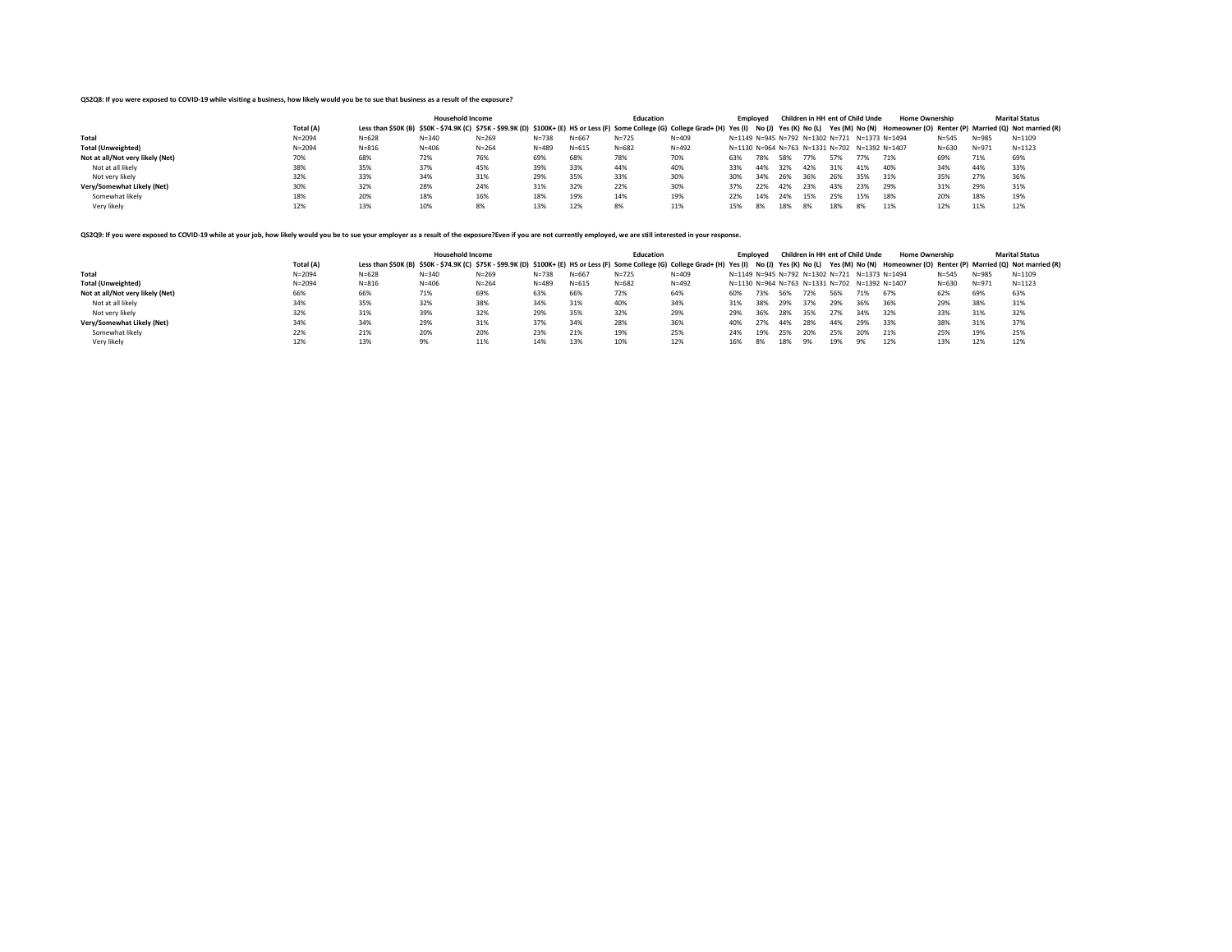## **QS2Q8: If you were exposed to COVID-19 while visiting a business, how likely would you be to sue that business as a result of the exposure?**

|                                  |            |                                                                                                                                                                                                                             | <b>Household Income</b> |           |           |           | <b>Education</b> |           |     | Emploved |       |      | Children in HH ent of Child Unde              |     | <b>Home Ownership</b> |           |           | <b>Marital Status</b> |
|----------------------------------|------------|-----------------------------------------------------------------------------------------------------------------------------------------------------------------------------------------------------------------------------|-------------------------|-----------|-----------|-----------|------------------|-----------|-----|----------|-------|------|-----------------------------------------------|-----|-----------------------|-----------|-----------|-----------------------|
|                                  | Total (A)  | Less than \$50K (B) \$50K - \$74.9K (C) \$75K - \$99.9K (D) \$100K+ (E) HS or Less (F) Some College (G) College Grad+ (H) Yes (I) No (J) Yes (K) No (L) Yes (M) No (N) Homeowner (O) Renter (P) Married (Q) Not married (R) |                         |           |           |           |                  |           |     |          |       |      |                                               |     |                       |           |           |                       |
| Total                            | $N = 2094$ | $N = 628$                                                                                                                                                                                                                   | $N = 340$               | $N = 269$ | $N = 738$ | $N = 667$ | $N = 725$        | $N = 409$ |     |          |       |      | N=1149 N=945 N=792 N=1302 N=721 N=1373 N=1494 |     |                       | $N = 545$ | $N = 985$ | $N = 1109$            |
| <b>Total (Unweighted)</b>        | $N = 2094$ | $N = 816$                                                                                                                                                                                                                   | $N = 406$               | $N = 264$ | $N = 489$ | $N = 615$ | $N = 682$        | $N = 492$ |     |          |       |      | N=1130 N=964 N=763 N=1331 N=702 N=1392 N=1407 |     |                       | $N = 630$ | $N = 971$ | $N = 1123$            |
| Not at all/Not very likely (Net) | 70%        | 68%                                                                                                                                                                                                                         | 72%                     | 76%       | 69%       | 68%       | 78%              | 70%       | 63% | 78%      | 58%   | 77%  | 57%                                           | 77% | 71%                   | 69%       | 71%       | 69%                   |
| Not at all likely                | 38%        | 35%                                                                                                                                                                                                                         | 37%                     | 45%       | 39%       | 33%       | 44%              | 40%       | 33% | 44%      | 32%   | 42%  | 31%                                           | 41% | 40%                   | 34%       | 44%       | 33%                   |
| Not very likely                  | 32%        | 33%                                                                                                                                                                                                                         | 34%                     | 31%       | 29%       | 35%       | 33%              | 30%       | 30% | 34%      | - 26% | 36%  | 26%                                           | 35% | 31%                   | 35%       | 27%       | 36%                   |
| Very/Somewhat Likely (Net)       | 30%        | 32%                                                                                                                                                                                                                         | 28%                     | 24%       | 31%       | 32%       | 22%              | 30%       | 37% | 22%      | 42%   | 23%  | 43%                                           | 23% | 29%                   | 31%       | 29%       | 31%                   |
| Somewhat likely                  | 18%        | 20%                                                                                                                                                                                                                         | 18%                     | 16%       | 18%       | 19%       | 14%              | 19%       | 22% | 14%      | -24%  | 15%  | 25%                                           | 15% | 18%                   | 20%       | 18%       | 19%                   |
| Very likely                      | 12%        | 13%                                                                                                                                                                                                                         | 10%                     | 8%        | 13%       | 12%       |                  | 11%       | 15% | 8%       | 18%   | - 8% | 18%                                           | 8%  | 11%                   | 12%       | 11%       | 12%                   |

### QS2Q9: If you were exposed to COVID-19 while at your job, how likely would you be to sue your employer as a result of the exposure?Even if you are not currently employed, we are still interested in your response.

|                                  |            |                                                                                                                                                                                                                             | <b>Household Income</b> |           |           |           | <b>Education</b> |           | Emploved |     |       |      | Children in HH ent of Child Unde              |     | <b>Home Ownership</b> |           |           | <b>Marital Status</b> |
|----------------------------------|------------|-----------------------------------------------------------------------------------------------------------------------------------------------------------------------------------------------------------------------------|-------------------------|-----------|-----------|-----------|------------------|-----------|----------|-----|-------|------|-----------------------------------------------|-----|-----------------------|-----------|-----------|-----------------------|
|                                  | Total (A)  | Less than \$50K (B) \$50K - \$74.9K (C) \$75K - \$99.9K (D) \$100K+ (E) HS or Less (F) Some College (G) College Grad+ (H) Yes (I) No (J) Yes (K) No (L) Yes (M) No (N) Homeowner (O) Renter (P) Married (Q) Not married (R) |                         |           |           |           |                  |           |          |     |       |      |                                               |     |                       |           |           |                       |
| Total                            | $N = 2094$ | $N = 628$                                                                                                                                                                                                                   | $N = 340$               | $N = 269$ | $N = 738$ | $N = 667$ | $N = 725$        | $N = 409$ |          |     |       |      | N=1149 N=945 N=792 N=1302 N=721 N=1373 N=1494 |     |                       | $N = 545$ | $N = 985$ | $N = 1109$            |
| <b>Total (Unweighted)</b>        | $N = 2094$ | $N = 816$                                                                                                                                                                                                                   | $N = 406$               | $N = 264$ | $N = 489$ | $N = 615$ | $N = 682$        | $N = 492$ |          |     |       |      | N=1130 N=964 N=763 N=1331 N=702 N=1392 N=1407 |     |                       | $N = 630$ | $N = 971$ | $N = 1123$            |
| Not at all/Not very likely (Net) | 66%        | 66%                                                                                                                                                                                                                         | 71%                     | 69%       | 63%       | 66%       | 72%              | 64%       | 60%      | 73% | 56%   | 72%  | 56%                                           | 71% | 67%                   | 62%       | 69%       | 63%                   |
| Not at all likely                | 34%        | 35%                                                                                                                                                                                                                         | 32%                     | 38%       | 34%       | 31%       | 40%              | 34%       | 31%      | 38% | - 29% | 37%  | 29%                                           | 36% | 36%                   | 29%       | 38%       | 31%                   |
| Not very likely                  | 32%        | 31%                                                                                                                                                                                                                         | 39%                     | 32%       | 29%       | 35%       | 32%              | 29%       | 29%      | 36% | 28%   | 35%  | 27%                                           | 34% | 32%                   | 33%       | 31%       | 32%                   |
| Very/Somewhat Likely (Net)       | 34%        | 34%                                                                                                                                                                                                                         | 29%                     | 31%       | 37%       | 34%       | 28%              | 36%       | 40%      | 27% | 44%   | 28%  | 44%                                           | 29% | 33%                   | 38%       | 31%       | 37%                   |
| Somewhat likely                  | 22%        | 21%                                                                                                                                                                                                                         | 20%                     | 20%       | 23%       | 21%       | 19%              | 25%       | 24%      | 19% | -25%  | -20% | 25%                                           | 20% | 21%                   | 25%       | 19%       | 25%                   |
| Very likely                      | 12%        | 13%                                                                                                                                                                                                                         | 9%                      | 11%       | 14%       | 13%       | 10%              | 12%       | 16%      | 8%  | 18%   | -9%  | 19%                                           | 9%  | 12%                   | 13%       | 12%       | 12%                   |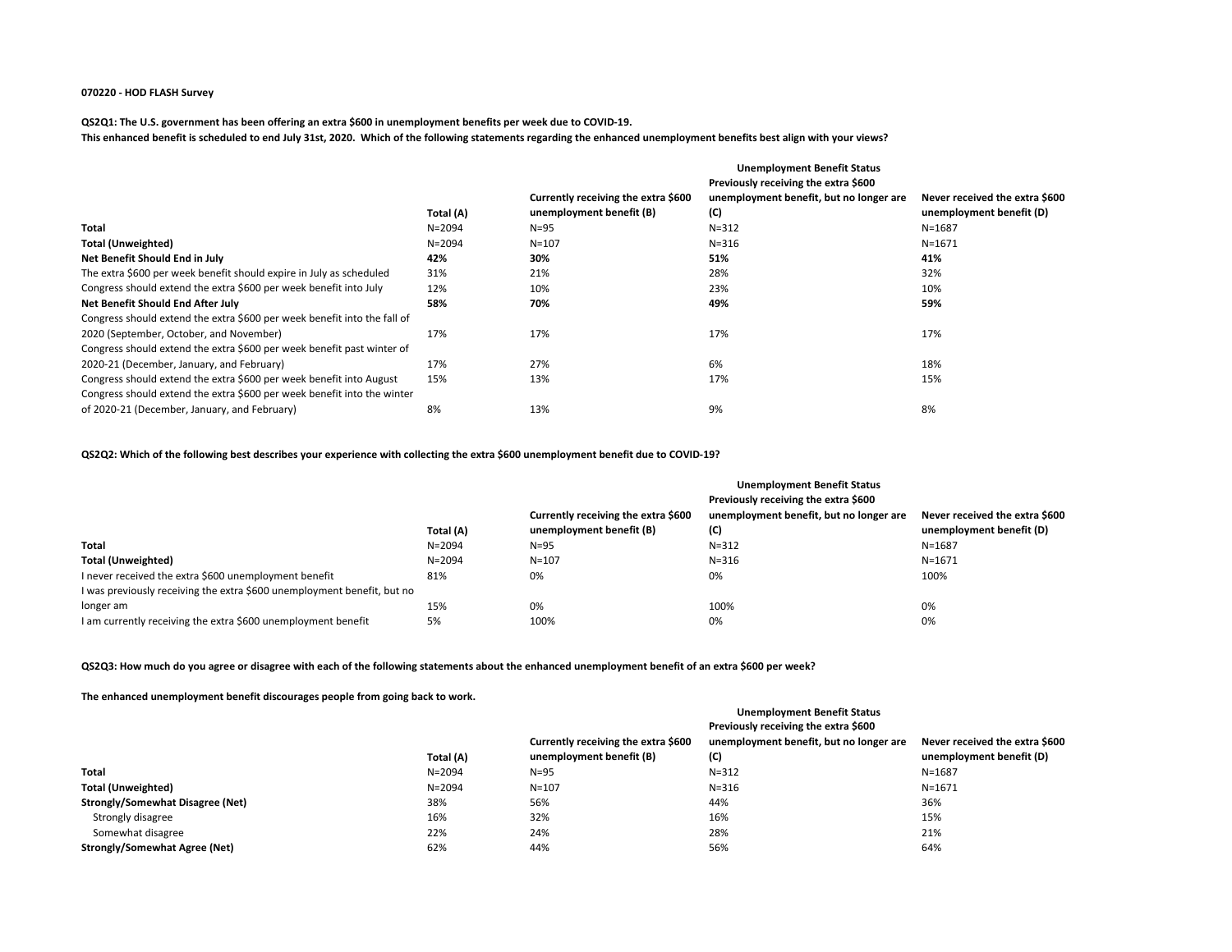## **070220 - HOD FLASH Survey**

# **QS2Q1: The U.S. government has been offering an extra \$600 in unemployment benefits per week due to COVID-19. This enhanced benefit is scheduled to end July 31st, 2020. Which of the following statements regarding the enhanced unemployment benefits best align with your views?**

|                                                                          |            | <b>Unemployment Benefit Status</b>  |                                         |                                |  |  |  |  |
|--------------------------------------------------------------------------|------------|-------------------------------------|-----------------------------------------|--------------------------------|--|--|--|--|
|                                                                          |            |                                     | Previously receiving the extra \$600    |                                |  |  |  |  |
|                                                                          |            | Currently receiving the extra \$600 | unemployment benefit, but no longer are | Never received the extra \$600 |  |  |  |  |
|                                                                          | Total (A)  | unemployment benefit (B)            | (C)                                     | unemployment benefit (D)       |  |  |  |  |
| <b>Total</b>                                                             | $N = 2094$ | $N = 95$                            | $N = 312$                               | $N = 1687$                     |  |  |  |  |
| <b>Total (Unweighted)</b>                                                | $N = 2094$ | $N = 107$                           | $N = 316$                               | $N = 1671$                     |  |  |  |  |
| Net Benefit Should End in July                                           | 42%        | 30%                                 | 51%                                     | 41%                            |  |  |  |  |
| The extra \$600 per week benefit should expire in July as scheduled      | 31%        | 21%                                 | 28%                                     | 32%                            |  |  |  |  |
| Congress should extend the extra \$600 per week benefit into July        | 12%        | 10%                                 | 23%                                     | 10%                            |  |  |  |  |
| Net Benefit Should End After July                                        | 58%        | 70%                                 | 49%                                     | 59%                            |  |  |  |  |
| Congress should extend the extra \$600 per week benefit into the fall of |            |                                     |                                         |                                |  |  |  |  |
| 2020 (September, October, and November)                                  | 17%        | 17%                                 | 17%                                     | 17%                            |  |  |  |  |
| Congress should extend the extra \$600 per week benefit past winter of   |            |                                     |                                         |                                |  |  |  |  |
| 2020-21 (December, January, and February)                                | 17%        | 27%                                 | 6%                                      | 18%                            |  |  |  |  |
| Congress should extend the extra \$600 per week benefit into August      | 15%        | 13%                                 | 17%                                     | 15%                            |  |  |  |  |
| Congress should extend the extra \$600 per week benefit into the winter  |            |                                     |                                         |                                |  |  |  |  |
| of 2020-21 (December, January, and February)                             | 8%         | 13%                                 | 9%                                      | 8%                             |  |  |  |  |

# **QS2Q2: Which of the following best describes your experience with collecting the extra \$600 unemployment benefit due to COVID-19?**

|                                                                         | Total (A)  | Currently receiving the extra \$600<br>unemployment benefit (B) | <b>Unemployment Benefit Status</b><br>Previously receiving the extra \$600<br>unemployment benefit, but no longer are<br>(C) | Never received the extra \$600<br>unemployment benefit (D) |
|-------------------------------------------------------------------------|------------|-----------------------------------------------------------------|------------------------------------------------------------------------------------------------------------------------------|------------------------------------------------------------|
| Total                                                                   | $N = 2094$ | $N = 95$                                                        | $N = 312$                                                                                                                    | N=1687                                                     |
| <b>Total (Unweighted)</b>                                               | $N = 2094$ | $N = 107$                                                       | $N = 316$                                                                                                                    | $N = 1671$                                                 |
| I never received the extra \$600 unemployment benefit                   | 81%        | 0%                                                              | 0%                                                                                                                           | 100%                                                       |
| I was previously receiving the extra \$600 unemployment benefit, but no |            |                                                                 |                                                                                                                              |                                                            |
| longer am                                                               | 15%        | 0%                                                              | 100%                                                                                                                         | 0%                                                         |
| I am currently receiving the extra \$600 unemployment benefit           | 5%         | 100%                                                            | 0%                                                                                                                           | 0%                                                         |

# **QS2Q3: How much do you agree or disagree with each of the following statements about the enhanced unemployment benefit of an extra \$600 per week?**

# **The enhanced unemployment benefit discourages people from going back to work.**

|                                      |            |                                     | <b>Unemployment Benefit Status</b>      |                                |
|--------------------------------------|------------|-------------------------------------|-----------------------------------------|--------------------------------|
|                                      |            |                                     | Previously receiving the extra \$600    |                                |
|                                      |            | Currently receiving the extra \$600 | unemployment benefit, but no longer are | Never received the extra \$600 |
|                                      | Total (A)  | unemployment benefit (B)            | (C)                                     | unemployment benefit (D)       |
| Total                                | $N = 2094$ | $N=95$                              | $N = 312$                               | $N = 1687$                     |
| <b>Total (Unweighted)</b>            | $N = 2094$ | $N = 107$                           | $N = 316$                               | $N = 1671$                     |
| Strongly/Somewhat Disagree (Net)     | 38%        | 56%                                 | 44%                                     | 36%                            |
| Strongly disagree                    | 16%        | 32%                                 | 16%                                     | 15%                            |
| Somewhat disagree                    | 22%        | 24%                                 | 28%                                     | 21%                            |
| <b>Strongly/Somewhat Agree (Net)</b> | 62%        | 44%                                 | 56%                                     | 64%                            |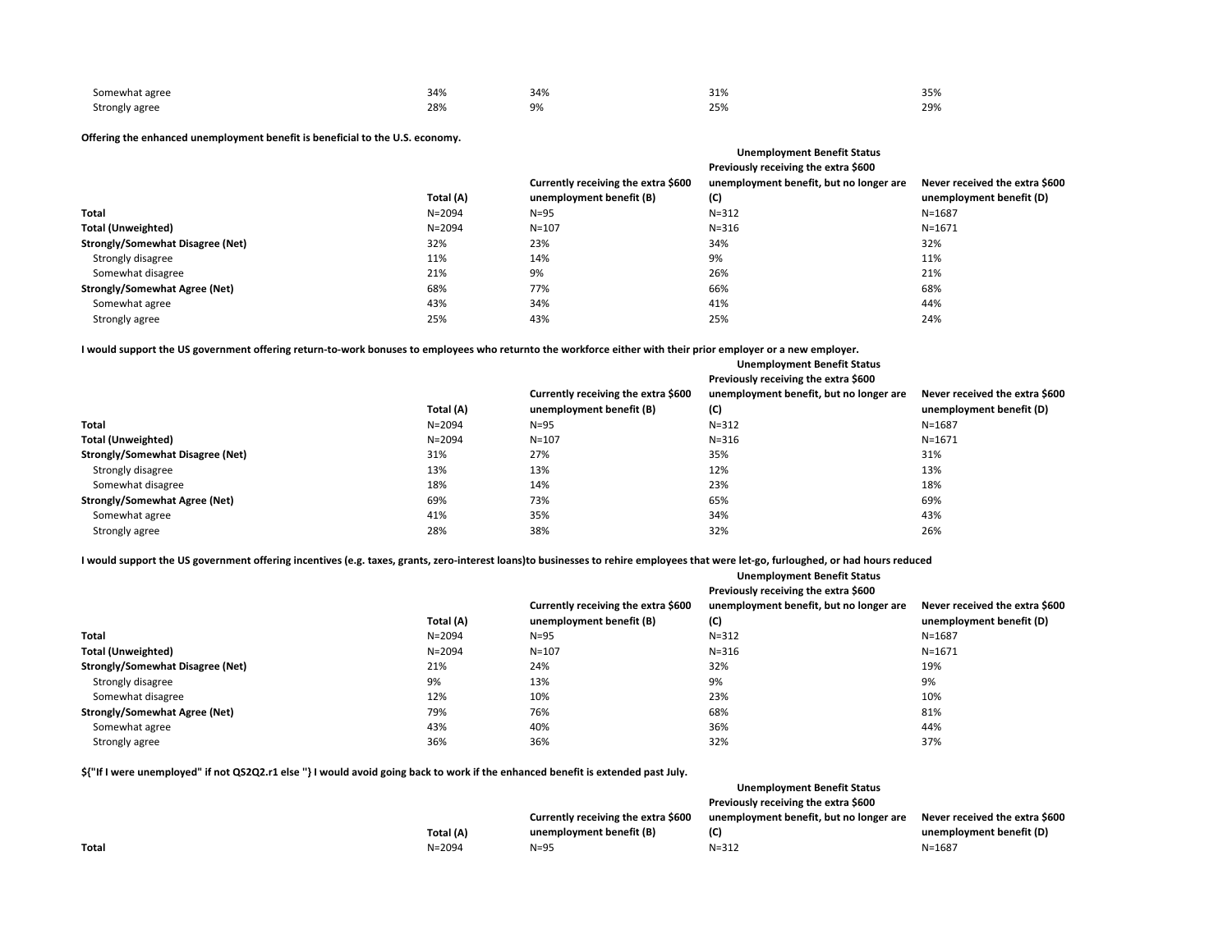| Somewhat agree | 34% | 34% | 210<br><b>JT10</b> | 35% |
|----------------|-----|-----|--------------------|-----|
| Strongly agree | 28% | 9%  | 25%                | 29% |

# **Offering the enhanced unemployment benefit is beneficial to the U.S. economy.**

|            |                                     | Previously receiving the extra \$600    |                                    |
|------------|-------------------------------------|-----------------------------------------|------------------------------------|
|            | Currently receiving the extra \$600 | unemployment benefit, but no longer are | Never received the extra \$600     |
| Total (A)  | unemployment benefit (B)            | (C)                                     | unemployment benefit (D)           |
| $N = 2094$ | $N = 95$                            | $N = 312$                               | $N = 1687$                         |
| $N = 2094$ | $N = 107$                           | $N = 316$                               | $N = 1671$                         |
| 32%        | 23%                                 | 34%                                     | 32%                                |
| 11%        | 14%                                 | 9%                                      | 11%                                |
| 21%        | 9%                                  | 26%                                     | 21%                                |
| 68%        | 77%                                 | 66%                                     | 68%                                |
| 43%        | 34%                                 | 41%                                     | 44%                                |
| 25%        | 43%                                 | 25%                                     | 24%                                |
|            |                                     |                                         | <b>Unemployment Benefit Status</b> |

**I would support the US government offering return-to-work bonuses to employees who returnto the workforce either with their prior employer or a new employer.**

|                                         |            | <b>Unemployment Benefit Status</b><br>Previously receiving the extra \$600 |                                                |                                                            |  |  |  |  |
|-----------------------------------------|------------|----------------------------------------------------------------------------|------------------------------------------------|------------------------------------------------------------|--|--|--|--|
|                                         | Total (A)  | Currently receiving the extra \$600<br>unemployment benefit (B)            | unemployment benefit, but no longer are<br>(C) | Never received the extra \$600<br>unemployment benefit (D) |  |  |  |  |
| <b>Total</b>                            | $N = 2094$ | $N=95$                                                                     | $N = 312$                                      | $N = 1687$                                                 |  |  |  |  |
| Total (Unweighted)                      | $N = 2094$ | $N = 107$                                                                  | $N = 316$                                      | $N = 1671$                                                 |  |  |  |  |
| <b>Strongly/Somewhat Disagree (Net)</b> | 31%        | 27%                                                                        | 35%                                            | 31%                                                        |  |  |  |  |
| Strongly disagree                       | 13%        | 13%                                                                        | 12%                                            | 13%                                                        |  |  |  |  |
| Somewhat disagree                       | 18%        | 14%                                                                        | 23%                                            | 18%                                                        |  |  |  |  |
| <b>Strongly/Somewhat Agree (Net)</b>    | 69%        | 73%                                                                        | 65%                                            | 69%                                                        |  |  |  |  |
| Somewhat agree                          | 41%        | 35%                                                                        | 34%                                            | 43%                                                        |  |  |  |  |
| Strongly agree                          | 28%        | 38%                                                                        | 32%                                            | 26%                                                        |  |  |  |  |

**I would support the US government offering incentives (e.g. taxes, grants, zero-interest loans)to businesses to rehire employees that were let-go, furloughed, or had hours reduced**

|                                         |            |                                     | Previously receiving the extra \$600    |                                |
|-----------------------------------------|------------|-------------------------------------|-----------------------------------------|--------------------------------|
|                                         |            | Currently receiving the extra \$600 | unemployment benefit, but no longer are | Never received the extra \$600 |
|                                         | Total (A)  | unemployment benefit (B)            | (C)                                     | unemployment benefit (D)       |
| <b>Total</b>                            | $N = 2094$ | $N = 95$                            | $N = 312$                               | N=1687                         |
| <b>Total (Unweighted)</b>               | $N = 2094$ | $N = 107$                           | $N = 316$                               | $N = 1671$                     |
| <b>Strongly/Somewhat Disagree (Net)</b> | 21%        | 24%                                 | 32%                                     | 19%                            |
| Strongly disagree                       | 9%         | 13%                                 | 9%                                      | 9%                             |
| Somewhat disagree                       | 12%        | 10%                                 | 23%                                     | 10%                            |
| <b>Strongly/Somewhat Agree (Net)</b>    | 79%        | 76%                                 | 68%                                     | 81%                            |
| Somewhat agree                          | 43%        | 40%                                 | 36%                                     | 44%                            |
| Strongly agree                          | 36%        | 36%                                 | 32%                                     | 37%                            |

**Unemployment Benefit Status**

**\${"If I were unemployed" if not QS2Q2.r1 else ''} I would avoid going back to work if the enhanced benefit is extended past July.**

| Unemployment Benefit Status                                                    |                                |
|--------------------------------------------------------------------------------|--------------------------------|
| Previously receiving the extra \$600                                           |                                |
| unemployment benefit, but no longer are<br>Currently receiving the extra \$600 | Never received the extra \$600 |
| Total (A)<br>(C)<br>unemployment benefit (B)                                   | unemployment benefit (D)       |
| Total<br>$N = 2094$<br>$N = 312$<br>$N = 95$                                   | N=1687                         |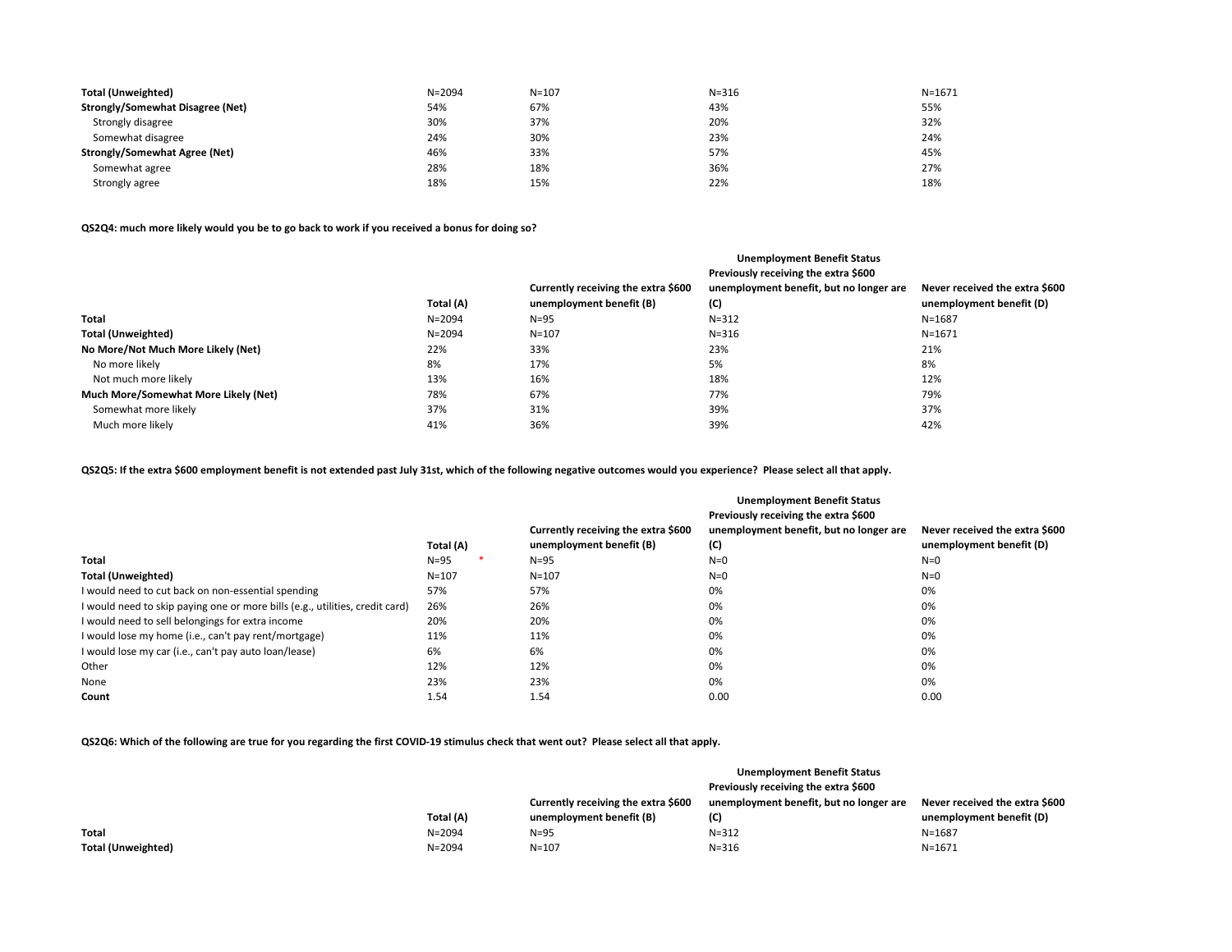| <b>Total (Unweighted)</b>            | $N = 2094$ | $N = 107$ | $N = 316$ | $N = 1671$ |
|--------------------------------------|------------|-----------|-----------|------------|
| Strongly/Somewhat Disagree (Net)     | 54%        | 67%       | 43%       | 55%        |
| Strongly disagree                    | 30%        | 37%       | 20%       | 32%        |
| Somewhat disagree                    | 24%        | 30%       | 23%       | 24%        |
| <b>Strongly/Somewhat Agree (Net)</b> | 46%        | 33%       | 57%       | 45%        |
| Somewhat agree                       | 28%        | 18%       | 36%       | 27%        |
| Strongly agree                       | 18%        | 15%       | 22%       | 18%        |

**QS2Q4: much more likely would you be to go back to work if you received a bonus for doing so?**

|            |                                     | <b>Unemployment Benefit Status</b>      |                                |
|------------|-------------------------------------|-----------------------------------------|--------------------------------|
|            |                                     | Previously receiving the extra \$600    |                                |
|            | Currently receiving the extra \$600 | unemployment benefit, but no longer are | Never received the extra \$600 |
| Total (A)  | unemployment benefit (B)            | (C)                                     | unemployment benefit (D)       |
| $N = 2094$ | $N=95$                              | $N = 312$                               | $N = 1687$                     |
| $N = 2094$ | $N = 107$                           | $N = 316$                               | $N = 1671$                     |
| 22%        | 33%                                 | 23%                                     | 21%                            |
| 8%         | 17%                                 | 5%                                      | 8%                             |
| 13%        | 16%                                 | 18%                                     | 12%                            |
| 78%        | 67%                                 | 77%                                     | 79%                            |
| 37%        | 31%                                 | 39%                                     | 37%                            |
| 41%        | 36%                                 | 39%                                     | 42%                            |
|            |                                     |                                         |                                |

**QS2Q5: If the extra \$600 employment benefit is not extended past July 31st, which of the following negative outcomes would you experience? Please select all that apply.**

|                                                                              |           |                                                                 | <b>Unemployment Benefit Status</b><br>Previously receiving the extra \$600 |                                                            |
|------------------------------------------------------------------------------|-----------|-----------------------------------------------------------------|----------------------------------------------------------------------------|------------------------------------------------------------|
|                                                                              | Total (A) | Currently receiving the extra \$600<br>unemployment benefit (B) | unemployment benefit, but no longer are<br>(C)                             | Never received the extra \$600<br>unemployment benefit (D) |
| Total                                                                        | $N=95$    | $N = 95$                                                        | $N=0$                                                                      | $N=0$                                                      |
| <b>Total (Unweighted)</b>                                                    | $N = 107$ | $N = 107$                                                       | $N=0$                                                                      | $N=0$                                                      |
| I would need to cut back on non-essential spending                           | 57%       | 57%                                                             | 0%                                                                         | 0%                                                         |
| I would need to skip paying one or more bills (e.g., utilities, credit card) | 26%       | 26%                                                             | 0%                                                                         | 0%                                                         |
| I would need to sell belongings for extra income                             | 20%       | 20%                                                             | 0%                                                                         | 0%                                                         |
| I would lose my home (i.e., can't pay rent/mortgage)                         | 11%       | 11%                                                             | 0%                                                                         | 0%                                                         |
| I would lose my car (i.e., can't pay auto loan/lease)                        | 6%        | 6%                                                              | 0%                                                                         | 0%                                                         |
| Other                                                                        | 12%       | 12%                                                             | 0%                                                                         | 0%                                                         |
| None                                                                         | 23%       | 23%                                                             | 0%                                                                         | 0%                                                         |
| Count                                                                        | 1.54      | 1.54                                                            | 0.00                                                                       | 0.00                                                       |

**QS2Q6: Which of the following are true for you regarding the first COVID-19 stimulus check that went out? Please select all that apply.**

|                           |            |                                     | <b>Unemployment Benefit Status</b>      |                                |
|---------------------------|------------|-------------------------------------|-----------------------------------------|--------------------------------|
|                           |            |                                     | Previously receiving the extra \$600    |                                |
|                           |            | Currently receiving the extra \$600 | unemployment benefit, but no longer are | Never received the extra \$600 |
|                           | Total (A)  | unemployment benefit (B)            | (C)                                     | unemployment benefit (D)       |
| Total                     | $N = 2094$ | $N=95$                              | $N = 312$                               | $N = 1687$                     |
| <b>Total (Unweighted)</b> | N=2094     | $N = 107$                           | $N = 316$                               | $N = 1671$                     |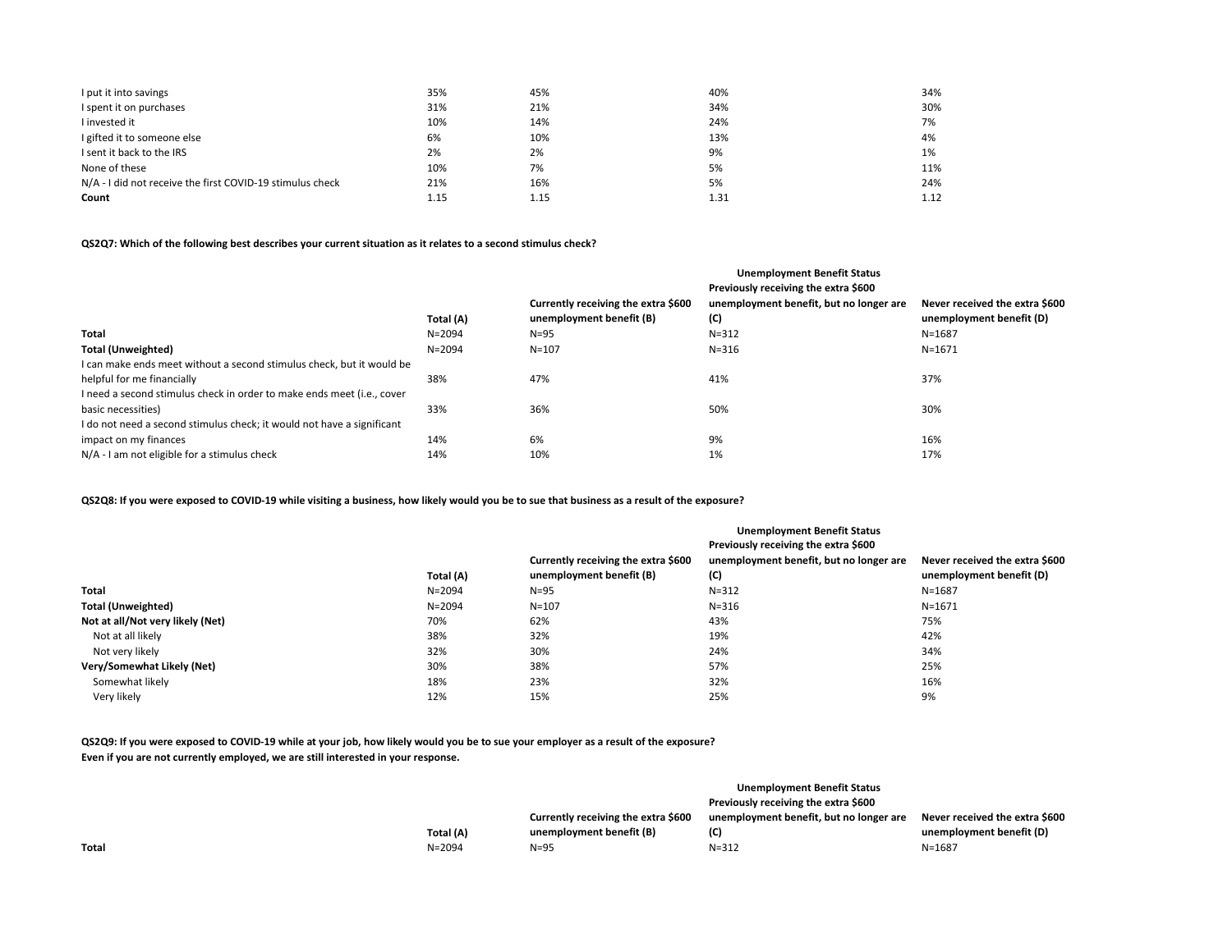| I put it into savings                                     | 35%  | 45%  | 40%  | 34%  |
|-----------------------------------------------------------|------|------|------|------|
| I spent it on purchases                                   | 31%  | 21%  | 34%  | 30%  |
| I invested it                                             | 10%  | 14%  | 24%  | 7%   |
| I gifted it to someone else                               | 6%   | 10%  | 13%  | 4%   |
| I sent it back to the IRS                                 | 2%   | 2%   | 9%   | 1%   |
| None of these                                             | 10%  | 7%   | 5%   | 11%  |
| N/A - I did not receive the first COVID-19 stimulus check | 21%  | 16%  | 5%   | 24%  |
| Count                                                     | 1.15 | 1.15 | 1.31 | 1.12 |

# **QS2Q7: Which of the following best describes your current situation as it relates to a second stimulus check?**

|                                                                        |            |                                     | <b>Unemployment Benefit Status</b>      |                                |
|------------------------------------------------------------------------|------------|-------------------------------------|-----------------------------------------|--------------------------------|
|                                                                        |            |                                     | Previously receiving the extra \$600    |                                |
|                                                                        |            | Currently receiving the extra \$600 | unemployment benefit, but no longer are | Never received the extra \$600 |
|                                                                        | Total (A)  | unemployment benefit (B)            | (C)                                     | unemployment benefit (D)       |
| Total                                                                  | $N = 2094$ | $N=95$                              | $N = 312$                               | $N = 1687$                     |
| <b>Total (Unweighted)</b>                                              | $N = 2094$ | $N = 107$                           | $N = 316$                               | $N = 1671$                     |
| I can make ends meet without a second stimulus check, but it would be  |            |                                     |                                         |                                |
| helpful for me financially                                             | 38%        | 47%                                 | 41%                                     | 37%                            |
| I need a second stimulus check in order to make ends meet (i.e., cover |            |                                     |                                         |                                |
| basic necessities)                                                     | 33%        | 36%                                 | 50%                                     | 30%                            |
| I do not need a second stimulus check; it would not have a significant |            |                                     |                                         |                                |
| impact on my finances                                                  | 14%        | 6%                                  | 9%                                      | 16%                            |
| N/A - I am not eligible for a stimulus check                           | 14%        | 10%                                 | 1%                                      | 17%                            |

**QS2Q8: If you were exposed to COVID-19 while visiting a business, how likely would you be to sue that business as a result of the exposure?**

|                                  | Total (A)  | Currently receiving the extra \$600<br>unemployment benefit (B) | <b>Unemployment Benefit Status</b><br>Previously receiving the extra \$600<br>unemployment benefit, but no longer are<br>(C) | Never received the extra \$600<br>unemployment benefit (D) |
|----------------------------------|------------|-----------------------------------------------------------------|------------------------------------------------------------------------------------------------------------------------------|------------------------------------------------------------|
| Total                            | $N = 2094$ | $N = 95$                                                        | $N = 312$                                                                                                                    | $N = 1687$                                                 |
| <b>Total (Unweighted)</b>        | $N = 2094$ | $N = 107$                                                       | $N = 316$                                                                                                                    | $N = 1671$                                                 |
| Not at all/Not very likely (Net) | 70%        | 62%                                                             | 43%                                                                                                                          | 75%                                                        |
| Not at all likely                | 38%        | 32%                                                             | 19%                                                                                                                          | 42%                                                        |
| Not very likely                  | 32%        | 30%                                                             | 24%                                                                                                                          | 34%                                                        |
| Very/Somewhat Likely (Net)       | 30%        | 38%                                                             | 57%                                                                                                                          | 25%                                                        |
| Somewhat likely                  | 18%        | 23%                                                             | 32%                                                                                                                          | 16%                                                        |
| Very likely                      | 12%        | 15%                                                             | 25%                                                                                                                          | 9%                                                         |

**QS2Q9: If you were exposed to COVID-19 while at your job, how likely would you be to sue your employer as a result of the exposure? Even if you are not currently employed, we are still interested in your response.**

|       |            |                                     | Unemployment Benefit Status             |                                |
|-------|------------|-------------------------------------|-----------------------------------------|--------------------------------|
|       |            |                                     | Previously receiving the extra \$600    |                                |
|       |            | Currently receiving the extra \$600 | unemployment benefit, but no longer are | Never received the extra \$600 |
|       | Total (A)  | unemployment benefit (B)            | (C)                                     | unemployment benefit (D)       |
| Total | $N = 2094$ | $N = 95$                            | $N = 312$                               | $N = 1687$                     |
|       |            |                                     |                                         |                                |